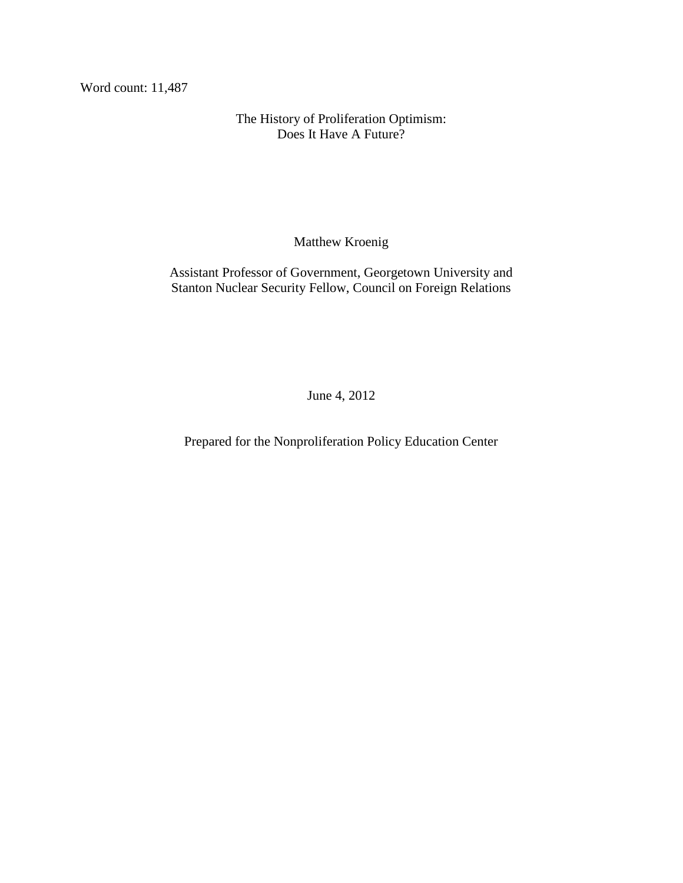Word count: 11,487

The History of Proliferation Optimism: Does It Have A Future?

Matthew Kroenig

Assistant Professor of Government, Georgetown University and Stanton Nuclear Security Fellow, Council on Foreign Relations

June 4, 2012

Prepared for the Nonproliferation Policy Education Center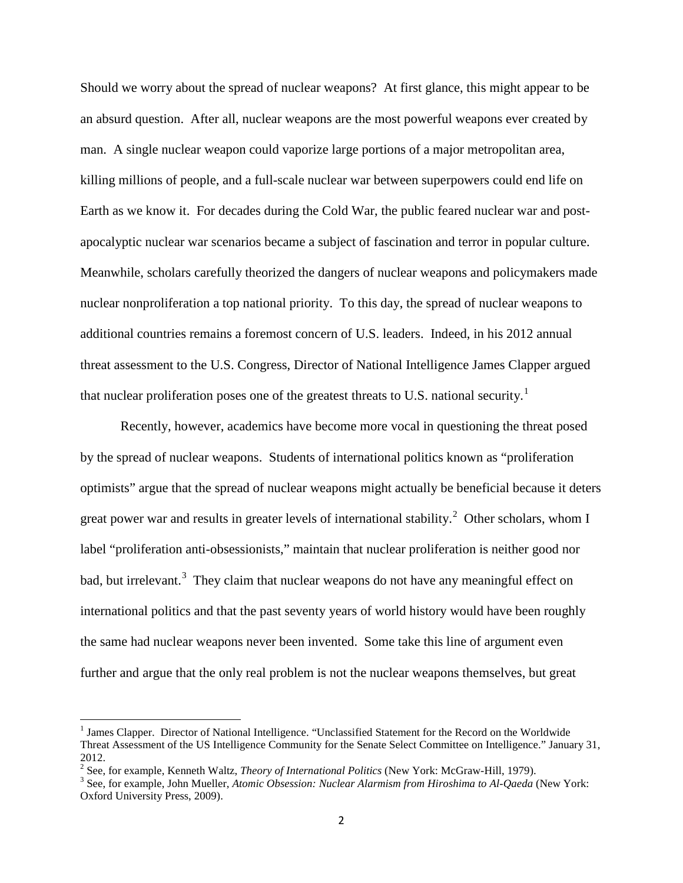Should we worry about the spread of nuclear weapons? At first glance, this might appear to be an absurd question. After all, nuclear weapons are the most powerful weapons ever created by man. A single nuclear weapon could vaporize large portions of a major metropolitan area, killing millions of people, and a full-scale nuclear war between superpowers could end life on Earth as we know it. For decades during the Cold War, the public feared nuclear war and postapocalyptic nuclear war scenarios became a subject of fascination and terror in popular culture. Meanwhile, scholars carefully theorized the dangers of nuclear weapons and policymakers made nuclear nonproliferation a top national priority. To this day, the spread of nuclear weapons to additional countries remains a foremost concern of U.S. leaders. Indeed, in his 2012 annual threat assessment to the U.S. Congress, Director of National Intelligence James Clapper argued that nuclear proliferation poses one of the greatest threats to U.S. national security.<sup>[1](#page-1-0)</sup>

Recently, however, academics have become more vocal in questioning the threat posed by the spread of nuclear weapons. Students of international politics known as "proliferation optimists" argue that the spread of nuclear weapons might actually be beneficial because it deters great power war and results in greater levels of international stability.<sup>[2](#page-1-1)</sup> Other scholars, whom I label "proliferation anti-obsessionists," maintain that nuclear proliferation is neither good nor bad, but irrelevant.<sup>[3](#page-1-2)</sup> They claim that nuclear weapons do not have any meaningful effect on international politics and that the past seventy years of world history would have been roughly the same had nuclear weapons never been invented. Some take this line of argument even further and argue that the only real problem is not the nuclear weapons themselves, but great

<span id="page-1-0"></span><sup>&</sup>lt;sup>1</sup> James Clapper. Director of National Intelligence. "Unclassified Statement for the Record on the Worldwide Threat Assessment of the US Intelligence Community for the Senate Select Committee on Intelligence." January 31, 2012.<br>
<sup>2</sup> See, for example, Kenneth Waltz, *Theory of International Politics* (New York: McGraw-Hill, 1979).

<span id="page-1-1"></span>

<span id="page-1-2"></span><sup>&</sup>lt;sup>3</sup> See, for example, John Mueller, *Atomic Obsession: Nuclear Alarmism from Hiroshima to Al-Qaeda* (New York: Oxford University Press, 2009).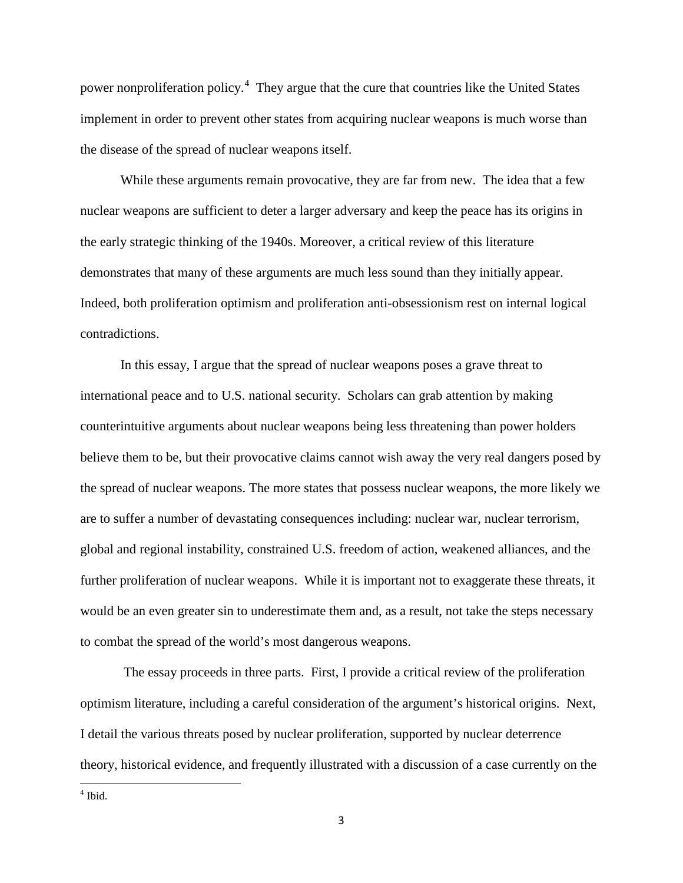power nonproliferation policy.<sup>[4](#page-2-0)</sup> They argue that the cure that countries like the United States implement in order to prevent other states from acquiring nuclear weapons is much worse than the disease of the spread of nuclear weapons itself.

While these arguments remain provocative, they are far from new. The idea that a few nuclear weapons are sufficient to deter a larger adversary and keep the peace has its origins in the early strategic thinking of the 1940s. Moreover, a critical review of this literature demonstrates that many of these arguments are much less sound than they initially appear. Indeed, both proliferation optimism and proliferation anti-obsessionism rest on internal logical contradictions.

In this essay, I argue that the spread of nuclear weapons poses a grave threat to international peace and to U.S. national security. Scholars can grab attention by making counterintuitive arguments about nuclear weapons being less threatening than power holders believe them to be, but their provocative claims cannot wish away the very real dangers posed by the spread of nuclear weapons. The more states that possess nuclear weapons, the more likely we are to suffer a number of devastating consequences including: nuclear war, nuclear terrorism, global and regional instability, constrained U.S. freedom of action, weakened alliances, and the further proliferation of nuclear weapons. While it is important not to exaggerate these threats, it would be an even greater sin to underestimate them and, as a result, not take the steps necessary to combat the spread of the world's most dangerous weapons.

The essay proceeds in three parts. First, I provide a critical review of the proliferation optimism literature, including a careful consideration of the argument's historical origins. Next, I detail the various threats posed by nuclear proliferation, supported by nuclear deterrence theory, historical evidence, and frequently illustrated with a discussion of a case currently on the

<span id="page-2-0"></span> $<sup>4</sup>$  Ibid.</sup>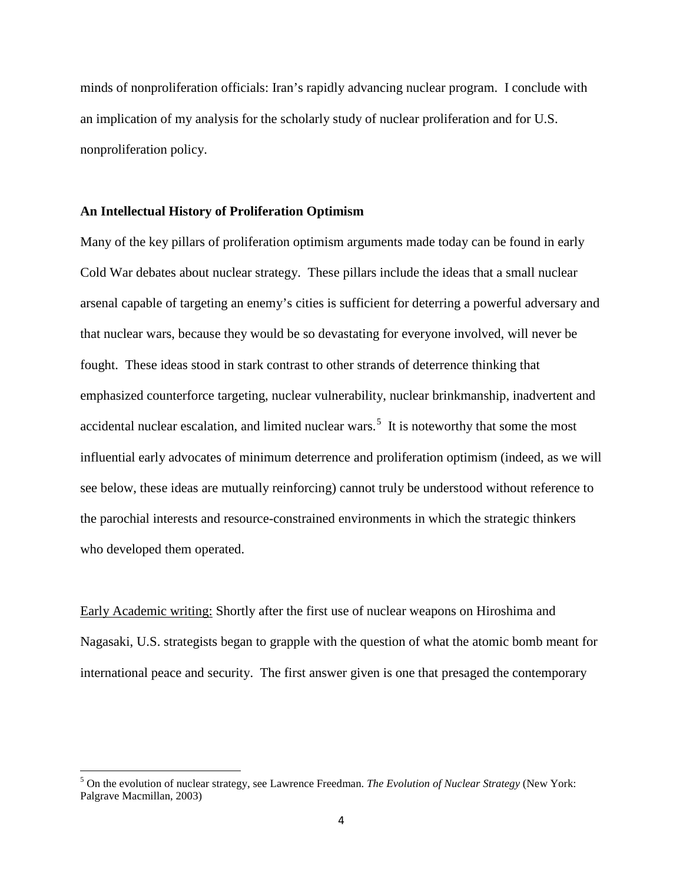minds of nonproliferation officials: Iran's rapidly advancing nuclear program. I conclude with an implication of my analysis for the scholarly study of nuclear proliferation and for U.S. nonproliferation policy.

# **An Intellectual History of Proliferation Optimism**

Many of the key pillars of proliferation optimism arguments made today can be found in early Cold War debates about nuclear strategy. These pillars include the ideas that a small nuclear arsenal capable of targeting an enemy's cities is sufficient for deterring a powerful adversary and that nuclear wars, because they would be so devastating for everyone involved, will never be fought. These ideas stood in stark contrast to other strands of deterrence thinking that emphasized counterforce targeting, nuclear vulnerability, nuclear brinkmanship, inadvertent and accidental nuclear escalation, and limited nuclear wars.<sup>[5](#page-3-0)</sup> It is noteworthy that some the most influential early advocates of minimum deterrence and proliferation optimism (indeed, as we will see below, these ideas are mutually reinforcing) cannot truly be understood without reference to the parochial interests and resource-constrained environments in which the strategic thinkers who developed them operated.

Early Academic writing: Shortly after the first use of nuclear weapons on Hiroshima and Nagasaki, U.S. strategists began to grapple with the question of what the atomic bomb meant for international peace and security. The first answer given is one that presaged the contemporary

<span id="page-3-0"></span><sup>5</sup> On the evolution of nuclear strategy, see Lawrence Freedman. *The Evolution of Nuclear Strategy* (New York: Palgrave Macmillan, 2003)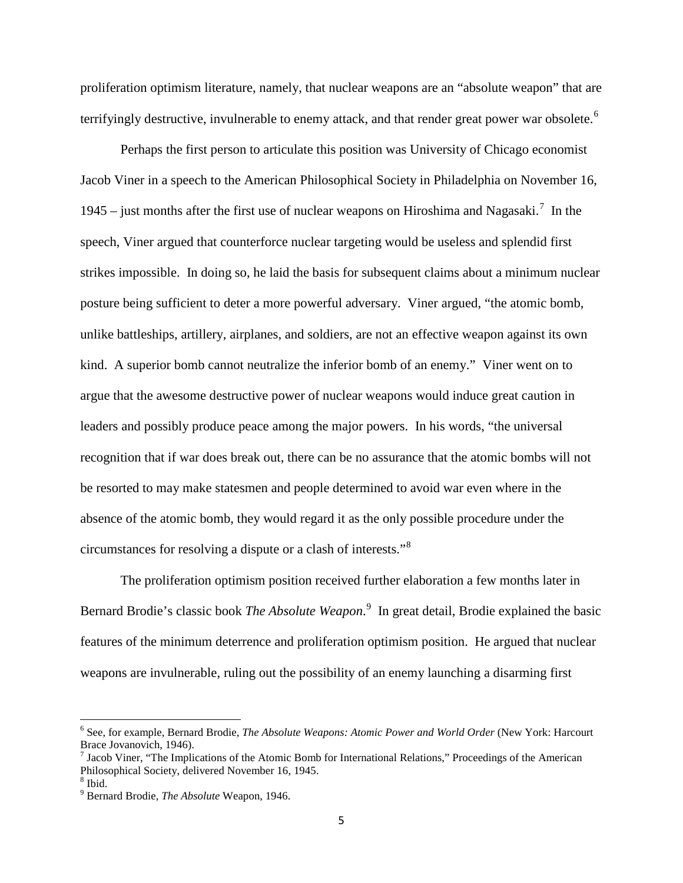proliferation optimism literature, namely, that nuclear weapons are an "absolute weapon" that are terrifyingly destructive, invulnerable to enemy attack, and that render great power war obsolete.<sup>[6](#page-4-0)</sup>

Perhaps the first person to articulate this position was University of Chicago economist Jacob Viner in a speech to the American Philosophical Society in Philadelphia on November 16, 1945 – just months after the first use of nuclear weapons on Hiroshima and Nagasaki.<sup>[7](#page-4-1)</sup> In the speech, Viner argued that counterforce nuclear targeting would be useless and splendid first strikes impossible. In doing so, he laid the basis for subsequent claims about a minimum nuclear posture being sufficient to deter a more powerful adversary. Viner argued, "the atomic bomb, unlike battleships, artillery, airplanes, and soldiers, are not an effective weapon against its own kind. A superior bomb cannot neutralize the inferior bomb of an enemy." Viner went on to argue that the awesome destructive power of nuclear weapons would induce great caution in leaders and possibly produce peace among the major powers. In his words, "the universal recognition that if war does break out, there can be no assurance that the atomic bombs will not be resorted to may make statesmen and people determined to avoid war even where in the absence of the atomic bomb, they would regard it as the only possible procedure under the circumstances for resolving a dispute or a clash of interests."[8](#page-4-2)

The proliferation optimism position received further elaboration a few months later in Bernard Brodie's classic book *The Absolute Weapon*. [9](#page-4-3) In great detail, Brodie explained the basic features of the minimum deterrence and proliferation optimism position. He argued that nuclear weapons are invulnerable, ruling out the possibility of an enemy launching a disarming first

<span id="page-4-0"></span><sup>6</sup> See, for example, Bernard Brodie, *The Absolute Weapons: Atomic Power and World Order* (New York: Harcourt Brace Jovanovich, 1946).

<span id="page-4-1"></span> $<sup>7</sup>$  Jacob Viner, "The Implications of the Atomic Bomb for International Relations," Proceedings of the American</sup> Philosophical Society, delivered November 16, 1945.

<span id="page-4-2"></span> $8$  Ibid.

<span id="page-4-3"></span><sup>9</sup> Bernard Brodie, *The Absolute* Weapon, 1946.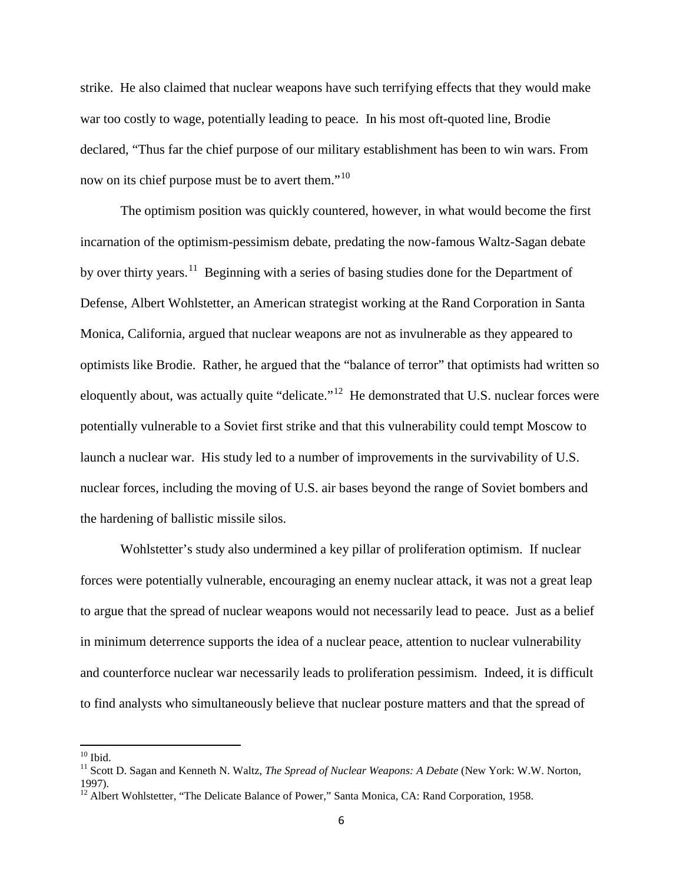strike. He also claimed that nuclear weapons have such terrifying effects that they would make war too costly to wage, potentially leading to peace. In his most oft-quoted line, Brodie declared, "Thus far the chief purpose of our military establishment has been to win wars. From now on its chief purpose must be to avert them."<sup>[10](#page-5-0)</sup>

The optimism position was quickly countered, however, in what would become the first incarnation of the optimism-pessimism debate, predating the now-famous Waltz-Sagan debate by over thirty years.<sup>[11](#page-5-1)</sup> Beginning with a series of basing studies done for the Department of Defense, Albert Wohlstetter, an American strategist working at the Rand Corporation in Santa Monica, California, argued that nuclear weapons are not as invulnerable as they appeared to optimists like Brodie. Rather, he argued that the "balance of terror" that optimists had written so eloquently about, was actually quite "delicate."<sup>12</sup> He demonstrated that U.S. nuclear forces were potentially vulnerable to a Soviet first strike and that this vulnerability could tempt Moscow to launch a nuclear war. His study led to a number of improvements in the survivability of U.S. nuclear forces, including the moving of U.S. air bases beyond the range of Soviet bombers and the hardening of ballistic missile silos.

Wohlstetter's study also undermined a key pillar of proliferation optimism. If nuclear forces were potentially vulnerable, encouraging an enemy nuclear attack, it was not a great leap to argue that the spread of nuclear weapons would not necessarily lead to peace. Just as a belief in minimum deterrence supports the idea of a nuclear peace, attention to nuclear vulnerability and counterforce nuclear war necessarily leads to proliferation pessimism. Indeed, it is difficult to find analysts who simultaneously believe that nuclear posture matters and that the spread of

<span id="page-5-1"></span><span id="page-5-0"></span><sup>&</sup>lt;sup>10</sup> Ibid.<br><sup>11</sup> Scott D. Sagan and Kenneth N. Waltz, *The Spread of Nuclear Weapons: A Debate* (New York: W.W. Norton, 1997).

<span id="page-5-2"></span><sup>&</sup>lt;sup>12</sup> Albert Wohlstetter, "The Delicate Balance of Power," Santa Monica, CA: Rand Corporation, 1958.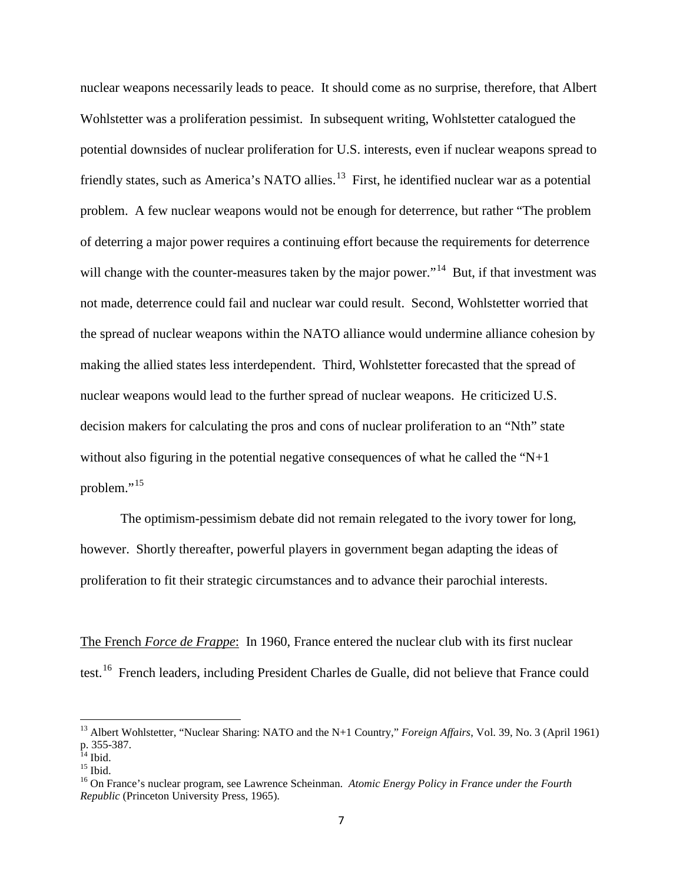nuclear weapons necessarily leads to peace. It should come as no surprise, therefore, that Albert Wohlstetter was a proliferation pessimist. In subsequent writing, Wohlstetter catalogued the potential downsides of nuclear proliferation for U.S. interests, even if nuclear weapons spread to friendly states, such as America's NATO allies.<sup>13</sup> First, he identified nuclear war as a potential problem. A few nuclear weapons would not be enough for deterrence, but rather "The problem of deterring a major power requires a continuing effort because the requirements for deterrence will change with the counter-measures taken by the major power."<sup>14</sup> But, if that investment was not made, deterrence could fail and nuclear war could result. Second, Wohlstetter worried that the spread of nuclear weapons within the NATO alliance would undermine alliance cohesion by making the allied states less interdependent. Third, Wohlstetter forecasted that the spread of nuclear weapons would lead to the further spread of nuclear weapons. He criticized U.S. decision makers for calculating the pros and cons of nuclear proliferation to an "Nth" state without also figuring in the potential negative consequences of what he called the " $N+1$ " problem."<sup>[15](#page-6-2)</sup>

The optimism-pessimism debate did not remain relegated to the ivory tower for long, however. Shortly thereafter, powerful players in government began adapting the ideas of proliferation to fit their strategic circumstances and to advance their parochial interests.

The French *Force de Frappe*: In 1960, France entered the nuclear club with its first nuclear test.[16](#page-6-3) French leaders, including President Charles de Gualle, did not believe that France could

<span id="page-6-0"></span><sup>&</sup>lt;sup>13</sup> Albert Wohlstetter, "Nuclear Sharing: NATO and the N+1 Country," *Foreign Affairs*, Vol. 39, No. 3 (April 1961) p. 355-387.<br><sup>14</sup> Ibid.

<span id="page-6-3"></span>

<span id="page-6-2"></span><span id="page-6-1"></span><sup>&</sup>lt;sup>15</sup> Ibid.<br><sup>16</sup> On France's nuclear program, see Lawrence Scheinman. *Atomic Energy Policy in France under the Fourth Republic* (Princeton University Press, 1965).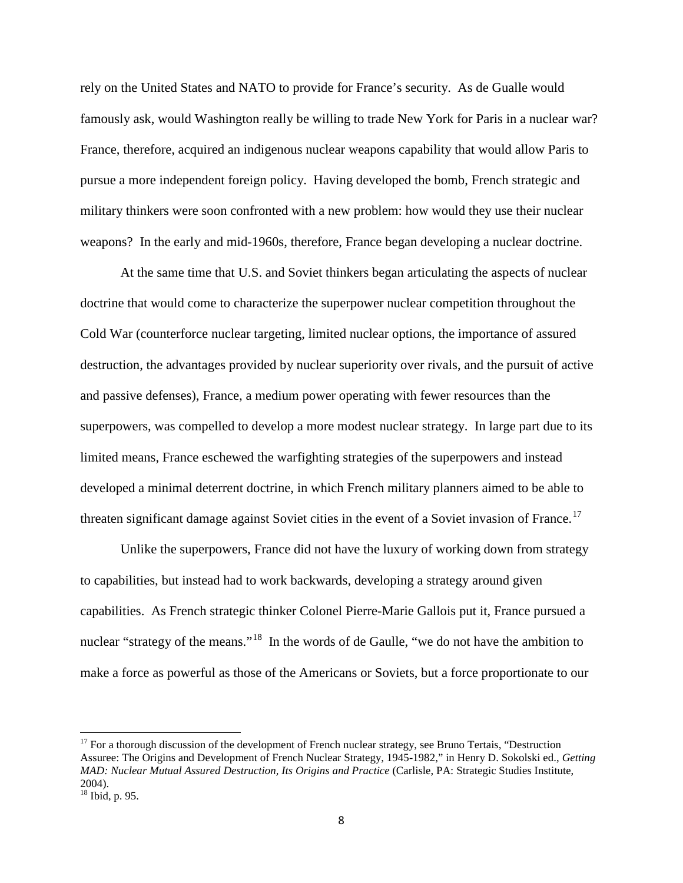rely on the United States and NATO to provide for France's security. As de Gualle would famously ask, would Washington really be willing to trade New York for Paris in a nuclear war? France, therefore, acquired an indigenous nuclear weapons capability that would allow Paris to pursue a more independent foreign policy. Having developed the bomb, French strategic and military thinkers were soon confronted with a new problem: how would they use their nuclear weapons? In the early and mid-1960s, therefore, France began developing a nuclear doctrine.

At the same time that U.S. and Soviet thinkers began articulating the aspects of nuclear doctrine that would come to characterize the superpower nuclear competition throughout the Cold War (counterforce nuclear targeting, limited nuclear options, the importance of assured destruction, the advantages provided by nuclear superiority over rivals, and the pursuit of active and passive defenses), France, a medium power operating with fewer resources than the superpowers, was compelled to develop a more modest nuclear strategy. In large part due to its limited means, France eschewed the warfighting strategies of the superpowers and instead developed a minimal deterrent doctrine, in which French military planners aimed to be able to threaten significant damage against Soviet cities in the event of a Soviet invasion of France.<sup>[17](#page-7-0)</sup>

Unlike the superpowers, France did not have the luxury of working down from strategy to capabilities, but instead had to work backwards, developing a strategy around given capabilities. As French strategic thinker Colonel Pierre-Marie Gallois put it, France pursued a nuclear "strategy of the means."<sup>18</sup> In the words of de Gaulle, "we do not have the ambition to make a force as powerful as those of the Americans or Soviets, but a force proportionate to our

<span id="page-7-0"></span> $17$  For a thorough discussion of the development of French nuclear strategy, see Bruno Tertais, "Destruction" Assuree: The Origins and Development of French Nuclear Strategy, 1945-1982," in Henry D. Sokolski ed., *Getting MAD: Nuclear Mutual Assured Destruction, Its Origins and Practice* (Carlisle, PA: Strategic Studies Institute, 2004).

<span id="page-7-1"></span><sup>18</sup> Ibid, p. 95.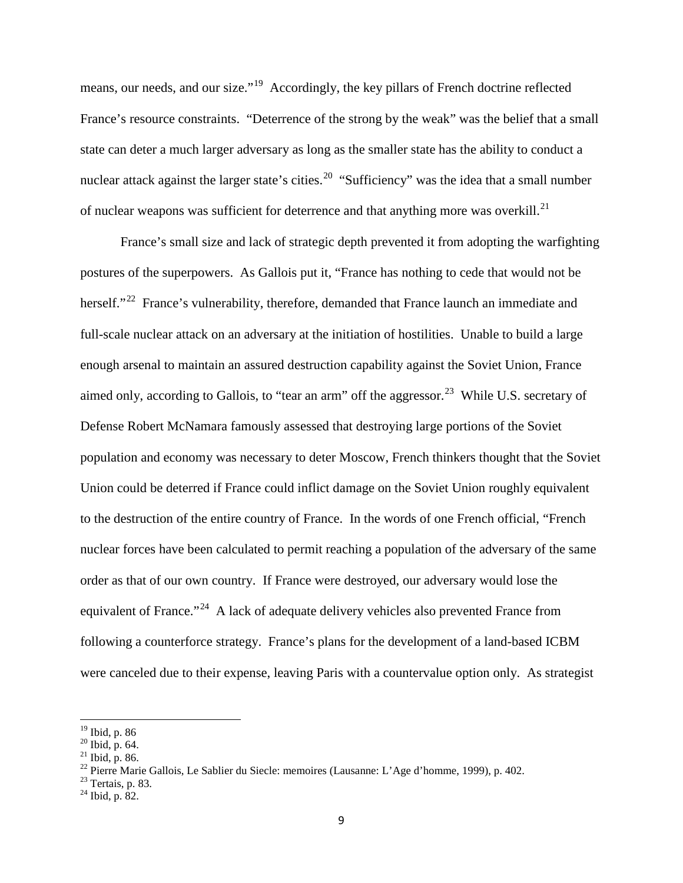means, our needs, and our size."<sup>19</sup> Accordingly, the key pillars of French doctrine reflected France's resource constraints. "Deterrence of the strong by the weak" was the belief that a small state can deter a much larger adversary as long as the smaller state has the ability to conduct a nuclear attack against the larger state's cities.<sup>[20](#page-8-1)</sup> "Sufficiency" was the idea that a small number of nuclear weapons was sufficient for deterrence and that anything more was overkill.<sup>21</sup>

France's small size and lack of strategic depth prevented it from adopting the warfighting postures of the superpowers. As Gallois put it, "France has nothing to cede that would not be herself."<sup>22</sup> France's vulnerability, therefore, demanded that France launch an immediate and full-scale nuclear attack on an adversary at the initiation of hostilities. Unable to build a large enough arsenal to maintain an assured destruction capability against the Soviet Union, France aimed only, according to Gallois, to "tear an arm" off the aggressor.<sup>[23](#page-8-4)</sup> While U.S. secretary of Defense Robert McNamara famously assessed that destroying large portions of the Soviet population and economy was necessary to deter Moscow, French thinkers thought that the Soviet Union could be deterred if France could inflict damage on the Soviet Union roughly equivalent to the destruction of the entire country of France. In the words of one French official, "French nuclear forces have been calculated to permit reaching a population of the adversary of the same order as that of our own country. If France were destroyed, our adversary would lose the equivalent of France."<sup>24</sup> A lack of adequate delivery vehicles also prevented France from following a counterforce strategy. France's plans for the development of a land-based ICBM were canceled due to their expense, leaving Paris with a countervalue option only. As strategist

<span id="page-8-3"></span><span id="page-8-2"></span>

<span id="page-8-1"></span><span id="page-8-0"></span><sup>&</sup>lt;sup>19</sup> Ibid, p. 86<br><sup>20</sup> Ibid, p. 64.<br><sup>21</sup> Ibid, p. 86.<br><sup>21</sup> Ibid, p. 86.<br><sup>22</sup> Pierre Marie Gallois, Le Sablier du Siecle: memoires (Lausanne: L'Age d'homme, 1999), p. 402.<br><sup>23</sup> Tertais, p. 83.<br><sup>24</sup> Ibid, p. 82.

<span id="page-8-4"></span>

<span id="page-8-5"></span>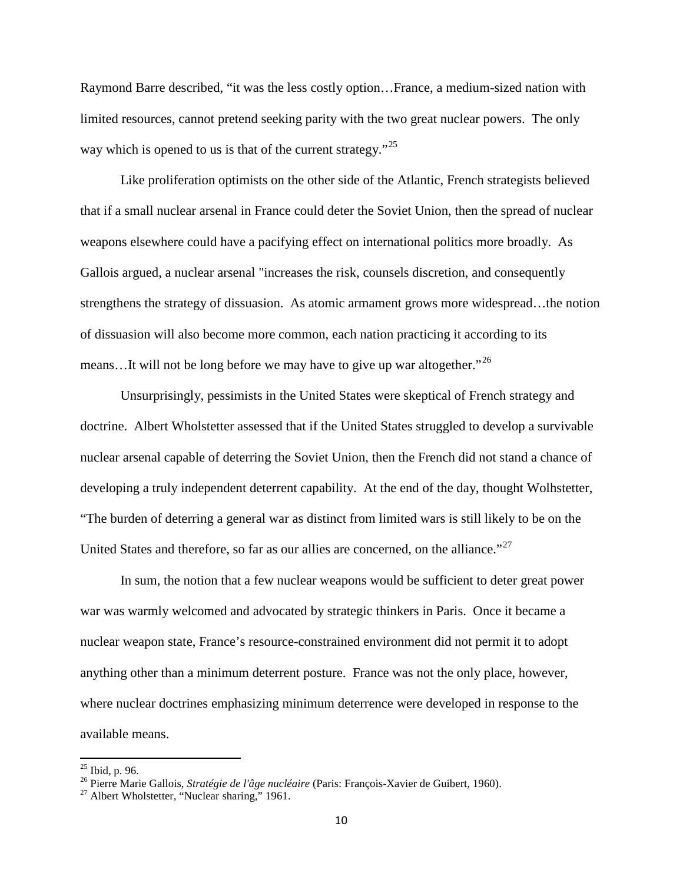Raymond Barre described, "it was the less costly option…France, a medium-sized nation with limited resources, cannot pretend seeking parity with the two great nuclear powers. The only way which is opened to us is that of the current strategy."<sup>25</sup>

Like proliferation optimists on the other side of the Atlantic, French strategists believed that if a small nuclear arsenal in France could deter the Soviet Union, then the spread of nuclear weapons elsewhere could have a pacifying effect on international politics more broadly. As Gallois argued, a nuclear arsenal "increases the risk, counsels discretion, and consequently strengthens the strategy of dissuasion. As atomic armament grows more widespread…the notion of dissuasion will also become more common, each nation practicing it according to its means...It will not be long before we may have to give up war altogether."<sup>[26](#page-9-1)</sup>

Unsurprisingly, pessimists in the United States were skeptical of French strategy and doctrine. Albert Wholstetter assessed that if the United States struggled to develop a survivable nuclear arsenal capable of deterring the Soviet Union, then the French did not stand a chance of developing a truly independent deterrent capability. At the end of the day, thought Wolhstetter, "The burden of deterring a general war as distinct from limited wars is still likely to be on the United States and therefore, so far as our allies are concerned, on the alliance."<sup>[27](#page-9-2)</sup>

In sum, the notion that a few nuclear weapons would be sufficient to deter great power war was warmly welcomed and advocated by strategic thinkers in Paris. Once it became a nuclear weapon state, France's resource-constrained environment did not permit it to adopt anything other than a minimum deterrent posture. France was not the only place, however, where nuclear doctrines emphasizing minimum deterrence were developed in response to the available means.

<span id="page-9-1"></span><span id="page-9-0"></span><sup>&</sup>lt;sup>25</sup> Ibid, p. 96.<br><sup>26</sup> Pierre Marie Gallois, *Stratégie de l'âge nucléaire* (Paris: François-Xavier de Guibert, 1960).<br><sup>27</sup> Albert Wholstetter, "Nuclear sharing," 1961.

<span id="page-9-2"></span>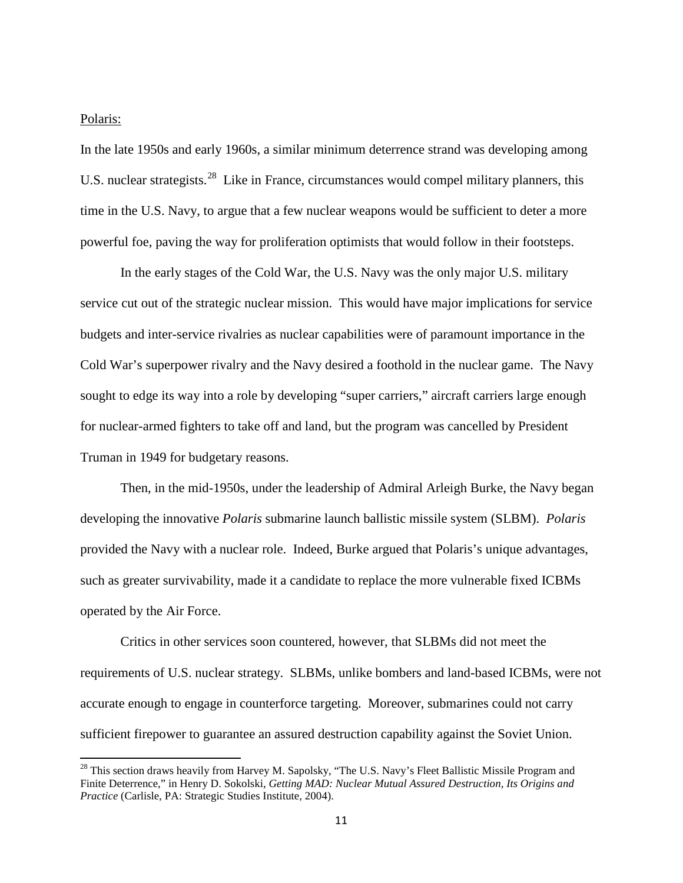#### Polaris:

In the late 1950s and early 1960s, a similar minimum deterrence strand was developing among U.S. nuclear strategists.<sup>[28](#page-10-0)</sup> Like in France, circumstances would compel military planners, this time in the U.S. Navy, to argue that a few nuclear weapons would be sufficient to deter a more powerful foe, paving the way for proliferation optimists that would follow in their footsteps.

In the early stages of the Cold War, the U.S. Navy was the only major U.S. military service cut out of the strategic nuclear mission. This would have major implications for service budgets and inter-service rivalries as nuclear capabilities were of paramount importance in the Cold War's superpower rivalry and the Navy desired a foothold in the nuclear game. The Navy sought to edge its way into a role by developing "super carriers," aircraft carriers large enough for nuclear-armed fighters to take off and land, but the program was cancelled by President Truman in 1949 for budgetary reasons.

Then, in the mid-1950s, under the leadership of Admiral Arleigh Burke, the Navy began developing the innovative *Polaris* submarine launch ballistic missile system (SLBM). *Polaris*  provided the Navy with a nuclear role. Indeed, Burke argued that Polaris's unique advantages, such as greater survivability, made it a candidate to replace the more vulnerable fixed ICBMs operated by the Air Force.

Critics in other services soon countered, however, that SLBMs did not meet the requirements of U.S. nuclear strategy. SLBMs, unlike bombers and land-based ICBMs, were not accurate enough to engage in counterforce targeting. Moreover, submarines could not carry sufficient firepower to guarantee an assured destruction capability against the Soviet Union.

<span id="page-10-0"></span> $^{28}$  This section draws heavily from Harvey M. Sapolsky, "The U.S. Navy's Fleet Ballistic Missile Program and Finite Deterrence," in Henry D. Sokolski, *Getting MAD: Nuclear Mutual Assured Destruction, Its Origins and Practice* (Carlisle, PA: Strategic Studies Institute, 2004).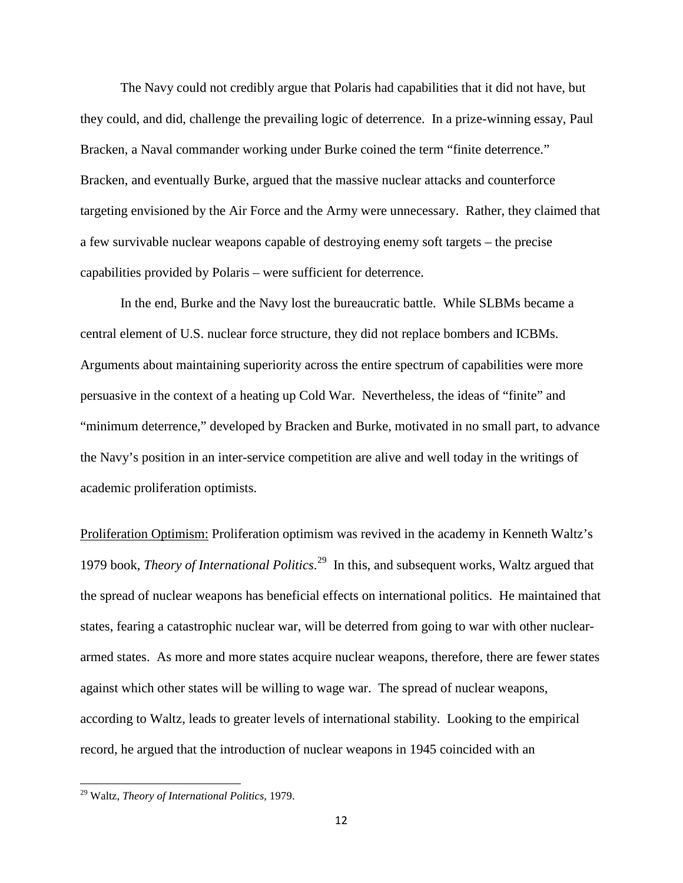The Navy could not credibly argue that Polaris had capabilities that it did not have, but they could, and did, challenge the prevailing logic of deterrence. In a prize-winning essay, Paul Bracken, a Naval commander working under Burke coined the term "finite deterrence." Bracken, and eventually Burke, argued that the massive nuclear attacks and counterforce targeting envisioned by the Air Force and the Army were unnecessary. Rather, they claimed that a few survivable nuclear weapons capable of destroying enemy soft targets – the precise capabilities provided by Polaris – were sufficient for deterrence.

In the end, Burke and the Navy lost the bureaucratic battle. While SLBMs became a central element of U.S. nuclear force structure, they did not replace bombers and ICBMs. Arguments about maintaining superiority across the entire spectrum of capabilities were more persuasive in the context of a heating up Cold War. Nevertheless, the ideas of "finite" and "minimum deterrence," developed by Bracken and Burke, motivated in no small part, to advance the Navy's position in an inter-service competition are alive and well today in the writings of academic proliferation optimists.

Proliferation Optimism: Proliferation optimism was revived in the academy in Kenneth Waltz's 1979 book, *Theory of International Politics*. [29](#page-11-0) In this, and subsequent works, Waltz argued that the spread of nuclear weapons has beneficial effects on international politics. He maintained that states, fearing a catastrophic nuclear war, will be deterred from going to war with other nucleararmed states. As more and more states acquire nuclear weapons, therefore, there are fewer states against which other states will be willing to wage war. The spread of nuclear weapons, according to Waltz, leads to greater levels of international stability. Looking to the empirical record, he argued that the introduction of nuclear weapons in 1945 coincided with an

<span id="page-11-0"></span><sup>29</sup> Waltz, *Theory of International Politics*, 1979.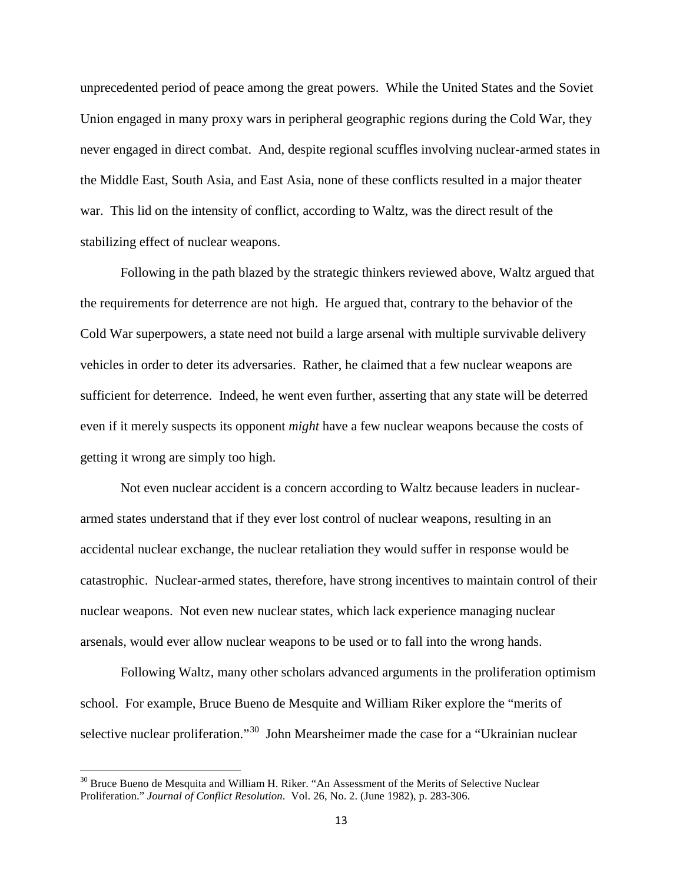unprecedented period of peace among the great powers. While the United States and the Soviet Union engaged in many proxy wars in peripheral geographic regions during the Cold War, they never engaged in direct combat. And, despite regional scuffles involving nuclear-armed states in the Middle East, South Asia, and East Asia, none of these conflicts resulted in a major theater war. This lid on the intensity of conflict, according to Waltz, was the direct result of the stabilizing effect of nuclear weapons.

Following in the path blazed by the strategic thinkers reviewed above, Waltz argued that the requirements for deterrence are not high. He argued that, contrary to the behavior of the Cold War superpowers, a state need not build a large arsenal with multiple survivable delivery vehicles in order to deter its adversaries. Rather, he claimed that a few nuclear weapons are sufficient for deterrence. Indeed, he went even further, asserting that any state will be deterred even if it merely suspects its opponent *might* have a few nuclear weapons because the costs of getting it wrong are simply too high.

Not even nuclear accident is a concern according to Waltz because leaders in nucleararmed states understand that if they ever lost control of nuclear weapons, resulting in an accidental nuclear exchange, the nuclear retaliation they would suffer in response would be catastrophic. Nuclear-armed states, therefore, have strong incentives to maintain control of their nuclear weapons. Not even new nuclear states, which lack experience managing nuclear arsenals, would ever allow nuclear weapons to be used or to fall into the wrong hands.

Following Waltz, many other scholars advanced arguments in the proliferation optimism school. For example, Bruce Bueno de Mesquite and William Riker explore the "merits of selective nuclear proliferation."<sup>[30](#page-12-0)</sup> John Mearsheimer made the case for a "Ukrainian nuclear"

<span id="page-12-0"></span> $30$  Bruce Bueno de Mesquita and William H. Riker. "An Assessment of the Merits of Selective Nuclear Proliferation." *Journal of Conflict Resolution*. Vol. 26, No. 2. (June 1982), p. 283-306.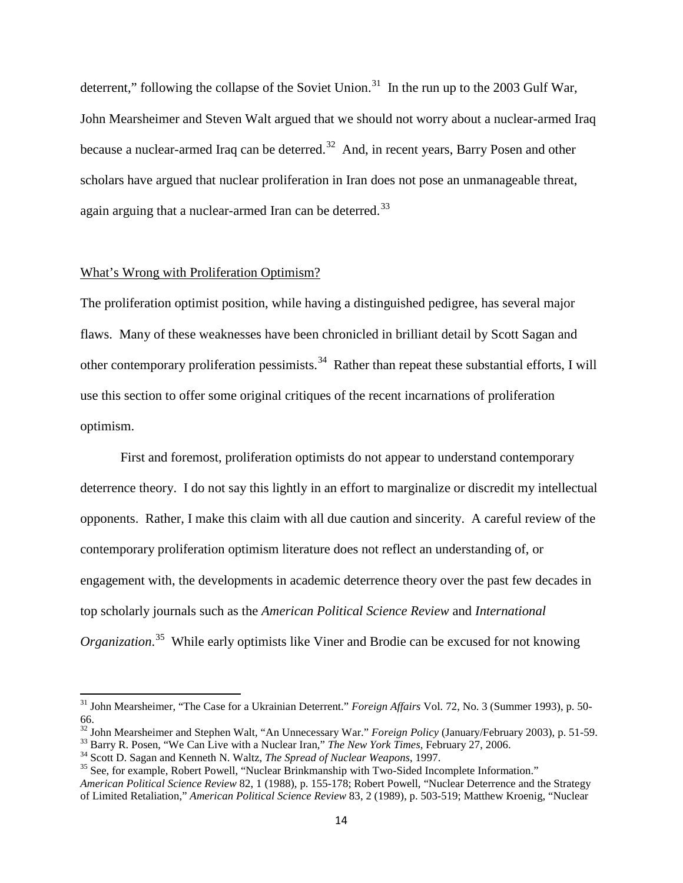deterrent," following the collapse of the Soviet Union.<sup>31</sup> In the run up to the 2003 Gulf War, John Mearsheimer and Steven Walt argued that we should not worry about a nuclear-armed Iraq because a nuclear-armed Iraq can be deterred.<sup>32</sup> And, in recent years, Barry Posen and other scholars have argued that nuclear proliferation in Iran does not pose an unmanageable threat, again arguing that a nuclear-armed Iran can be deterred.<sup>[33](#page-13-2)</sup>

## What's Wrong with Proliferation Optimism?

The proliferation optimist position, while having a distinguished pedigree, has several major flaws. Many of these weaknesses have been chronicled in brilliant detail by Scott Sagan and other contemporary proliferation pessimists.<sup>[34](#page-13-3)</sup> Rather than repeat these substantial efforts, I will use this section to offer some original critiques of the recent incarnations of proliferation optimism.

First and foremost, proliferation optimists do not appear to understand contemporary deterrence theory. I do not say this lightly in an effort to marginalize or discredit my intellectual opponents. Rather, I make this claim with all due caution and sincerity. A careful review of the contemporary proliferation optimism literature does not reflect an understanding of, or engagement with, the developments in academic deterrence theory over the past few decades in top scholarly journals such as the *American Political Science Review* and *International Organization*. [35](#page-13-4) While early optimists like Viner and Brodie can be excused for not knowing

<span id="page-13-0"></span><sup>31</sup> John Mearsheimer, "The Case for a Ukrainian Deterrent." *Foreign Affairs* Vol. 72, No. 3 (Summer 1993), p. 50- 66.

<span id="page-13-1"></span><sup>&</sup>lt;sup>32</sup> John Mearsheimer and Stephen Walt, "An Unnecessary War." *Foreign Policy* (January/February 2003), p. 51-59.<br><sup>33</sup> Barry R. Posen, "We Can Live with a Nuclear Iran," *The New York Times*, February 27, 2006.<br><sup>34</sup> Scott

<span id="page-13-2"></span>

<span id="page-13-3"></span>

<span id="page-13-4"></span>*American Political Science Review* 82, 1 (1988), p. 155-178; Robert Powell, "Nuclear Deterrence and the Strategy of Limited Retaliation," *American Political Science Review* 83, 2 (1989), p. 503-519; Matthew Kroenig, "Nuclear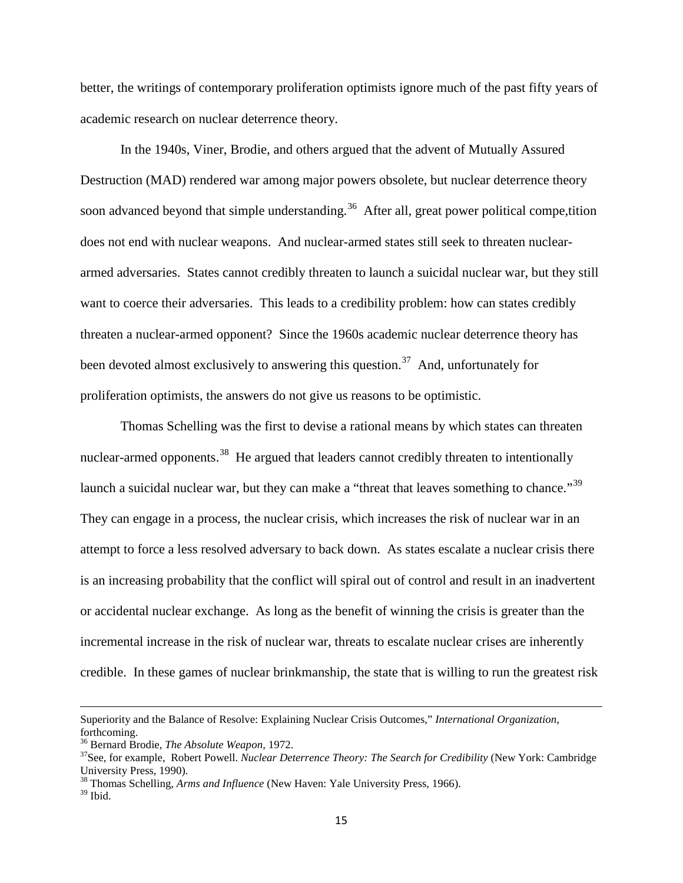better, the writings of contemporary proliferation optimists ignore much of the past fifty years of academic research on nuclear deterrence theory.

In the 1940s, Viner, Brodie, and others argued that the advent of Mutually Assured Destruction (MAD) rendered war among major powers obsolete, but nuclear deterrence theory soon advanced beyond that simple understanding.<sup>[36](#page-14-0)</sup> After all, great power political compe, tition does not end with nuclear weapons. And nuclear-armed states still seek to threaten nucleararmed adversaries. States cannot credibly threaten to launch a suicidal nuclear war, but they still want to coerce their adversaries. This leads to a credibility problem: how can states credibly threaten a nuclear-armed opponent? Since the 1960s academic nuclear deterrence theory has been devoted almost exclusively to answering this question.<sup>37</sup> And, unfortunately for proliferation optimists, the answers do not give us reasons to be optimistic.

Thomas Schelling was the first to devise a rational means by which states can threaten nuclear-armed opponents.<sup>[38](#page-14-2)</sup> He argued that leaders cannot credibly threaten to intentionally launch a suicidal nuclear war, but they can make a "threat that leaves something to chance."<sup>[39](#page-14-3)</sup> They can engage in a process, the nuclear crisis, which increases the risk of nuclear war in an attempt to force a less resolved adversary to back down. As states escalate a nuclear crisis there is an increasing probability that the conflict will spiral out of control and result in an inadvertent or accidental nuclear exchange. As long as the benefit of winning the crisis is greater than the incremental increase in the risk of nuclear war, threats to escalate nuclear crises are inherently credible. In these games of nuclear brinkmanship, the state that is willing to run the greatest risk

l

Superiority and the Balance of Resolve: Explaining Nuclear Crisis Outcomes," *International Organization*, forthcoming.<br><sup>36</sup> Bernard Brodie, *The Absolute Weapon*, 1972.

<span id="page-14-0"></span>

<span id="page-14-1"></span><sup>&</sup>lt;sup>37</sup> See, for example, Robert Powell. *Nuclear Deterrence Theory: The Search for Credibility* (New York: Cambridge University Press, 1990).

<span id="page-14-2"></span><sup>38</sup> Thomas Schelling, *Arms and Influence* (New Haven: Yale University Press, 1966).

<span id="page-14-3"></span> $39$  Ibid.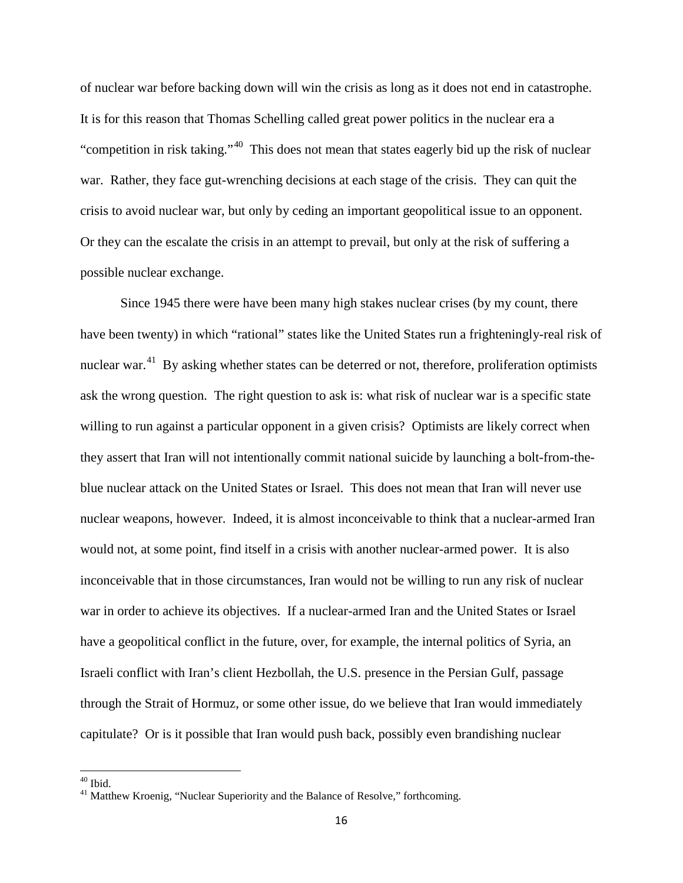of nuclear war before backing down will win the crisis as long as it does not end in catastrophe. It is for this reason that Thomas Schelling called great power politics in the nuclear era a "competition in risk taking."<sup>[40](#page-15-0)</sup> This does not mean that states eagerly bid up the risk of nuclear war. Rather, they face gut-wrenching decisions at each stage of the crisis. They can quit the crisis to avoid nuclear war, but only by ceding an important geopolitical issue to an opponent. Or they can the escalate the crisis in an attempt to prevail, but only at the risk of suffering a possible nuclear exchange.

Since 1945 there were have been many high stakes nuclear crises (by my count, there have been twenty) in which "rational" states like the United States run a frighteningly-real risk of nuclear war.<sup>41</sup> By asking whether states can be deterred or not, therefore, proliferation optimists ask the wrong question. The right question to ask is: what risk of nuclear war is a specific state willing to run against a particular opponent in a given crisis? Optimists are likely correct when they assert that Iran will not intentionally commit national suicide by launching a bolt-from-theblue nuclear attack on the United States or Israel. This does not mean that Iran will never use nuclear weapons, however. Indeed, it is almost inconceivable to think that a nuclear-armed Iran would not, at some point, find itself in a crisis with another nuclear-armed power. It is also inconceivable that in those circumstances, Iran would not be willing to run any risk of nuclear war in order to achieve its objectives. If a nuclear-armed Iran and the United States or Israel have a geopolitical conflict in the future, over, for example, the internal politics of Syria, an Israeli conflict with Iran's client Hezbollah, the U.S. presence in the Persian Gulf, passage through the Strait of Hormuz, or some other issue, do we believe that Iran would immediately capitulate? Or is it possible that Iran would push back, possibly even brandishing nuclear

<span id="page-15-1"></span><span id="page-15-0"></span> $40$  Ibid.<br> $41$  Matthew Kroenig, "Nuclear Superiority and the Balance of Resolve," forthcoming.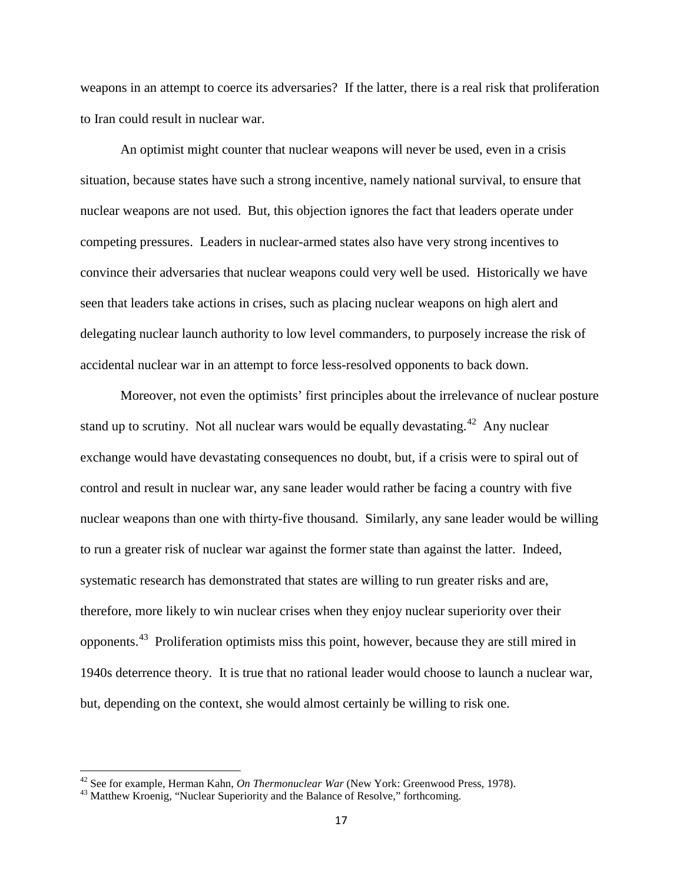weapons in an attempt to coerce its adversaries? If the latter, there is a real risk that proliferation to Iran could result in nuclear war.

An optimist might counter that nuclear weapons will never be used, even in a crisis situation, because states have such a strong incentive, namely national survival, to ensure that nuclear weapons are not used. But, this objection ignores the fact that leaders operate under competing pressures. Leaders in nuclear-armed states also have very strong incentives to convince their adversaries that nuclear weapons could very well be used. Historically we have seen that leaders take actions in crises, such as placing nuclear weapons on high alert and delegating nuclear launch authority to low level commanders, to purposely increase the risk of accidental nuclear war in an attempt to force less-resolved opponents to back down.

Moreover, not even the optimists' first principles about the irrelevance of nuclear posture stand up to scrutiny. Not all nuclear wars would be equally devastating.<sup>[42](#page-16-0)</sup> Any nuclear exchange would have devastating consequences no doubt, but, if a crisis were to spiral out of control and result in nuclear war, any sane leader would rather be facing a country with five nuclear weapons than one with thirty-five thousand. Similarly, any sane leader would be willing to run a greater risk of nuclear war against the former state than against the latter. Indeed, systematic research has demonstrated that states are willing to run greater risks and are, therefore, more likely to win nuclear crises when they enjoy nuclear superiority over their opponents.<sup>43</sup> Proliferation optimists miss this point, however, because they are still mired in 1940s deterrence theory. It is true that no rational leader would choose to launch a nuclear war, but, depending on the context, she would almost certainly be willing to risk one.

<span id="page-16-0"></span><sup>&</sup>lt;sup>42</sup> See for example, Herman Kahn, *On Thermonuclear War* (New York: Greenwood Press, 1978).<br><sup>43</sup> Matthew Kroenig, "Nuclear Superiority and the Balance of Resolve," forthcoming.

<span id="page-16-1"></span>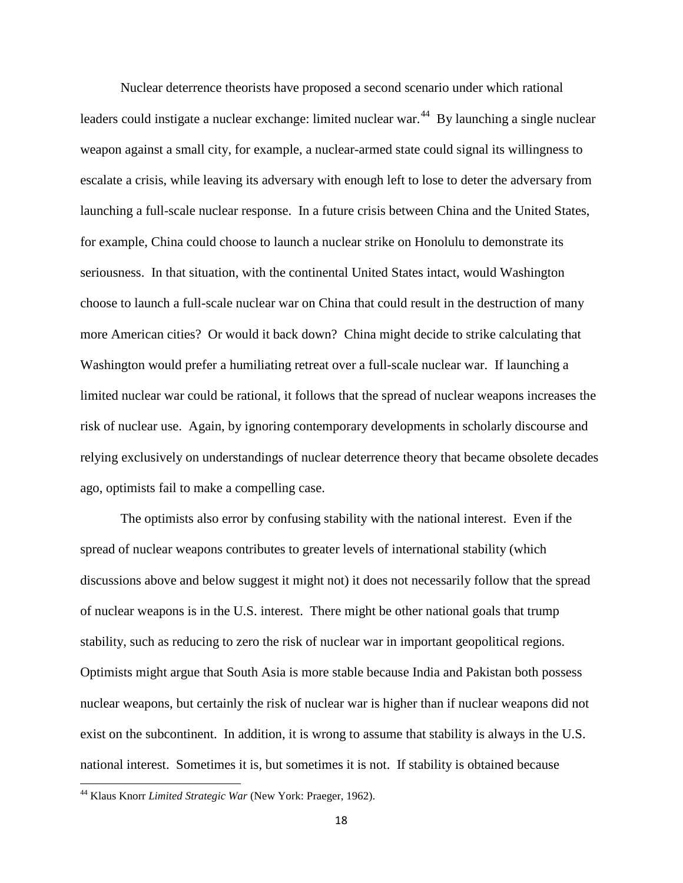Nuclear deterrence theorists have proposed a second scenario under which rational leaders could instigate a nuclear exchange: limited nuclear war.<sup>44</sup> By launching a single nuclear weapon against a small city, for example, a nuclear-armed state could signal its willingness to escalate a crisis, while leaving its adversary with enough left to lose to deter the adversary from launching a full-scale nuclear response. In a future crisis between China and the United States, for example, China could choose to launch a nuclear strike on Honolulu to demonstrate its seriousness. In that situation, with the continental United States intact, would Washington choose to launch a full-scale nuclear war on China that could result in the destruction of many more American cities? Or would it back down? China might decide to strike calculating that Washington would prefer a humiliating retreat over a full-scale nuclear war. If launching a limited nuclear war could be rational, it follows that the spread of nuclear weapons increases the risk of nuclear use. Again, by ignoring contemporary developments in scholarly discourse and relying exclusively on understandings of nuclear deterrence theory that became obsolete decades ago, optimists fail to make a compelling case.

The optimists also error by confusing stability with the national interest. Even if the spread of nuclear weapons contributes to greater levels of international stability (which discussions above and below suggest it might not) it does not necessarily follow that the spread of nuclear weapons is in the U.S. interest. There might be other national goals that trump stability, such as reducing to zero the risk of nuclear war in important geopolitical regions. Optimists might argue that South Asia is more stable because India and Pakistan both possess nuclear weapons, but certainly the risk of nuclear war is higher than if nuclear weapons did not exist on the subcontinent. In addition, it is wrong to assume that stability is always in the U.S. national interest. Sometimes it is, but sometimes it is not. If stability is obtained because

<span id="page-17-0"></span><sup>44</sup> Klaus Knorr *Limited Strategic War* (New York: Praeger, 1962).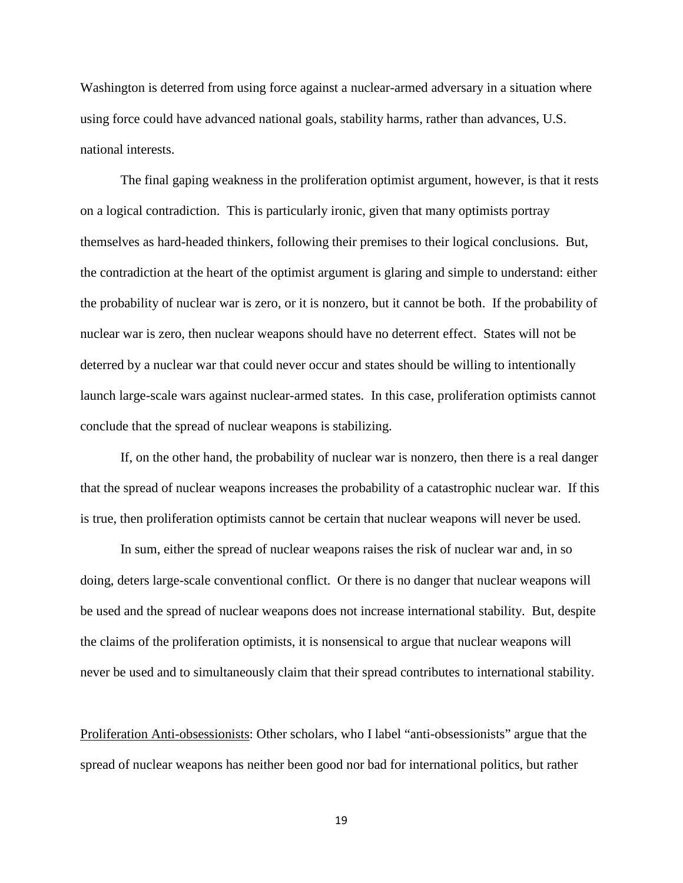Washington is deterred from using force against a nuclear-armed adversary in a situation where using force could have advanced national goals, stability harms, rather than advances, U.S. national interests.

The final gaping weakness in the proliferation optimist argument, however, is that it rests on a logical contradiction. This is particularly ironic, given that many optimists portray themselves as hard-headed thinkers, following their premises to their logical conclusions. But, the contradiction at the heart of the optimist argument is glaring and simple to understand: either the probability of nuclear war is zero, or it is nonzero, but it cannot be both. If the probability of nuclear war is zero, then nuclear weapons should have no deterrent effect. States will not be deterred by a nuclear war that could never occur and states should be willing to intentionally launch large-scale wars against nuclear-armed states. In this case, proliferation optimists cannot conclude that the spread of nuclear weapons is stabilizing.

If, on the other hand, the probability of nuclear war is nonzero, then there is a real danger that the spread of nuclear weapons increases the probability of a catastrophic nuclear war. If this is true, then proliferation optimists cannot be certain that nuclear weapons will never be used.

In sum, either the spread of nuclear weapons raises the risk of nuclear war and, in so doing, deters large-scale conventional conflict. Or there is no danger that nuclear weapons will be used and the spread of nuclear weapons does not increase international stability. But, despite the claims of the proliferation optimists, it is nonsensical to argue that nuclear weapons will never be used and to simultaneously claim that their spread contributes to international stability.

Proliferation Anti-obsessionists: Other scholars, who I label "anti-obsessionists" argue that the spread of nuclear weapons has neither been good nor bad for international politics, but rather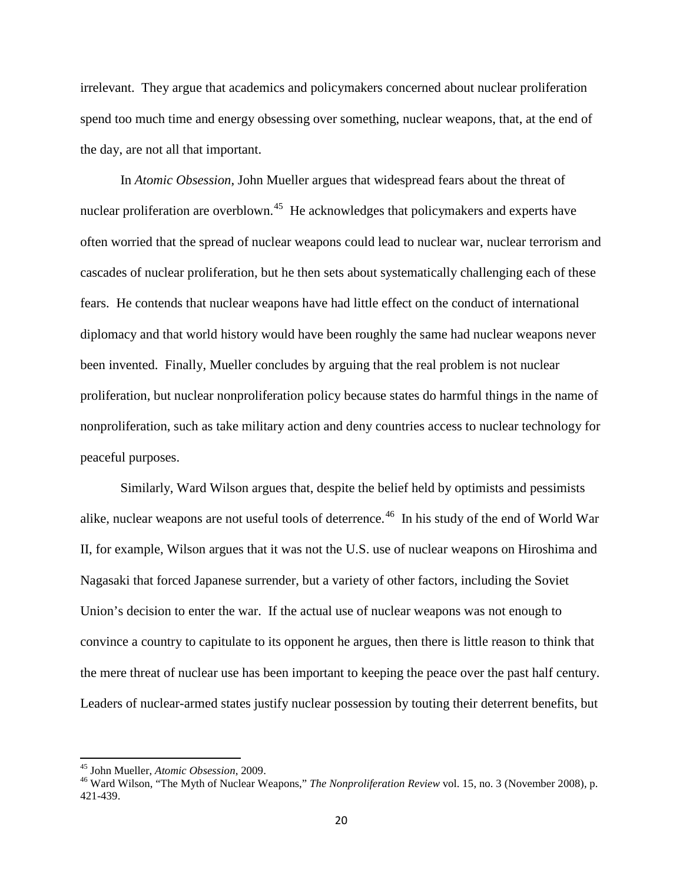irrelevant. They argue that academics and policymakers concerned about nuclear proliferation spend too much time and energy obsessing over something, nuclear weapons, that, at the end of the day, are not all that important.

In *Atomic Obsession*, John Mueller argues that widespread fears about the threat of nuclear proliferation are overblown.<sup>45</sup> He acknowledges that policymakers and experts have often worried that the spread of nuclear weapons could lead to nuclear war, nuclear terrorism and cascades of nuclear proliferation, but he then sets about systematically challenging each of these fears. He contends that nuclear weapons have had little effect on the conduct of international diplomacy and that world history would have been roughly the same had nuclear weapons never been invented. Finally, Mueller concludes by arguing that the real problem is not nuclear proliferation, but nuclear nonproliferation policy because states do harmful things in the name of nonproliferation, such as take military action and deny countries access to nuclear technology for peaceful purposes.

Similarly, Ward Wilson argues that, despite the belief held by optimists and pessimists alike, nuclear weapons are not useful tools of deterrence.<sup>46</sup> In his study of the end of World War II, for example, Wilson argues that it was not the U.S. use of nuclear weapons on Hiroshima and Nagasaki that forced Japanese surrender, but a variety of other factors, including the Soviet Union's decision to enter the war. If the actual use of nuclear weapons was not enough to convince a country to capitulate to its opponent he argues, then there is little reason to think that the mere threat of nuclear use has been important to keeping the peace over the past half century. Leaders of nuclear-armed states justify nuclear possession by touting their deterrent benefits, but

<span id="page-19-1"></span><span id="page-19-0"></span><sup>&</sup>lt;sup>45</sup> John Mueller, *Atomic Obsession*, 2009.<br><sup>46</sup> Ward Wilson, "The Myth of Nuclear Weapons," *The Nonproliferation Review* vol. 15, no. 3 (November 2008), p. 421-439.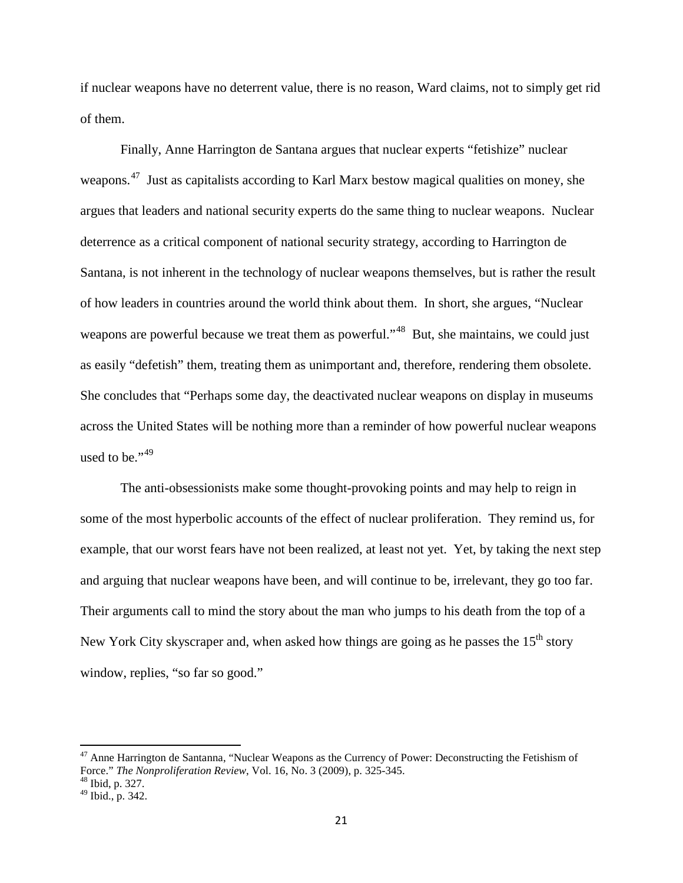if nuclear weapons have no deterrent value, there is no reason, Ward claims, not to simply get rid of them.

Finally, Anne Harrington de Santana argues that nuclear experts "fetishize" nuclear weapons.<sup>47</sup> Just as capitalists according to Karl Marx bestow magical qualities on money, she argues that leaders and national security experts do the same thing to nuclear weapons. Nuclear deterrence as a critical component of national security strategy, according to Harrington de Santana, is not inherent in the technology of nuclear weapons themselves, but is rather the result of how leaders in countries around the world think about them. In short, she argues, "Nuclear weapons are powerful because we treat them as powerful."<sup>48</sup> But, she maintains, we could just as easily "defetish" them, treating them as unimportant and, therefore, rendering them obsolete. She concludes that "Perhaps some day, the deactivated nuclear weapons on display in museums across the United States will be nothing more than a reminder of how powerful nuclear weapons used to be." $49$ 

The anti-obsessionists make some thought-provoking points and may help to reign in some of the most hyperbolic accounts of the effect of nuclear proliferation. They remind us, for example, that our worst fears have not been realized, at least not yet. Yet, by taking the next step and arguing that nuclear weapons have been, and will continue to be, irrelevant, they go too far. Their arguments call to mind the story about the man who jumps to his death from the top of a New York City skyscraper and, when asked how things are going as he passes the  $15<sup>th</sup>$  story window, replies, "so far so good."

<span id="page-20-0"></span> $47$  Anne Harrington de Santanna, "Nuclear Weapons as the Currency of Power: Deconstructing the Fetishism of Force." *The Nonproliferation Review*, Vol. 16, No. 3 (2009), p. 325-345. <sup>48</sup> Ibid, p. 327.

<span id="page-20-2"></span><span id="page-20-1"></span><sup>49</sup> Ibid., p. 342.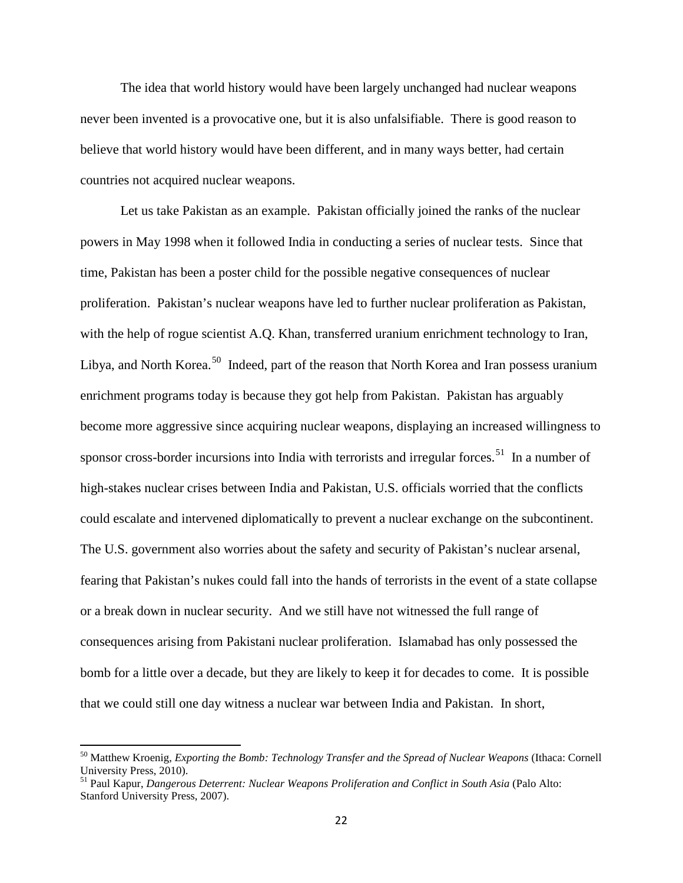The idea that world history would have been largely unchanged had nuclear weapons never been invented is a provocative one, but it is also unfalsifiable. There is good reason to believe that world history would have been different, and in many ways better, had certain countries not acquired nuclear weapons.

Let us take Pakistan as an example. Pakistan officially joined the ranks of the nuclear powers in May 1998 when it followed India in conducting a series of nuclear tests. Since that time, Pakistan has been a poster child for the possible negative consequences of nuclear proliferation. Pakistan's nuclear weapons have led to further nuclear proliferation as Pakistan, with the help of rogue scientist A.Q. Khan, transferred uranium enrichment technology to Iran, Libya, and North Korea.<sup>[50](#page-21-0)</sup> Indeed, part of the reason that North Korea and Iran possess uranium enrichment programs today is because they got help from Pakistan. Pakistan has arguably become more aggressive since acquiring nuclear weapons, displaying an increased willingness to sponsor cross-border incursions into India with terrorists and irregular forces.<sup>51</sup> In a number of high-stakes nuclear crises between India and Pakistan, U.S. officials worried that the conflicts could escalate and intervened diplomatically to prevent a nuclear exchange on the subcontinent. The U.S. government also worries about the safety and security of Pakistan's nuclear arsenal, fearing that Pakistan's nukes could fall into the hands of terrorists in the event of a state collapse or a break down in nuclear security. And we still have not witnessed the full range of consequences arising from Pakistani nuclear proliferation. Islamabad has only possessed the bomb for a little over a decade, but they are likely to keep it for decades to come. It is possible that we could still one day witness a nuclear war between India and Pakistan. In short,

<span id="page-21-0"></span><sup>50</sup> Matthew Kroenig, *Exporting the Bomb: Technology Transfer and the Spread of Nuclear Weapons* (Ithaca: Cornell University Press, 2010).

<span id="page-21-1"></span><sup>&</sup>lt;sup>51</sup> Paul Kapur, *Dangerous Deterrent: Nuclear Weapons Proliferation and Conflict in South Asia (Palo Alto:* Stanford University Press, 2007).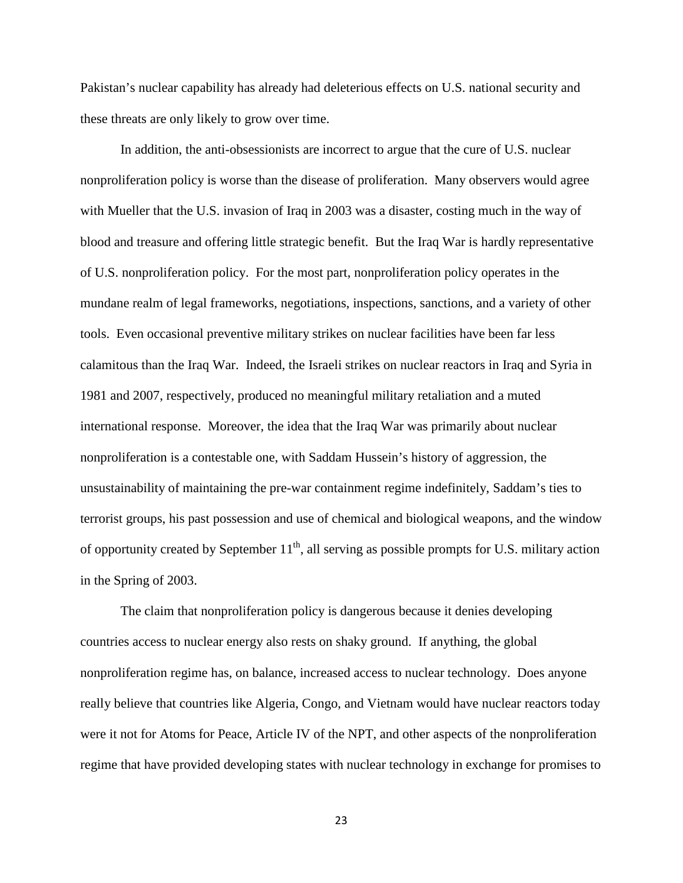Pakistan's nuclear capability has already had deleterious effects on U.S. national security and these threats are only likely to grow over time.

In addition, the anti-obsessionists are incorrect to argue that the cure of U.S. nuclear nonproliferation policy is worse than the disease of proliferation. Many observers would agree with Mueller that the U.S. invasion of Iraq in 2003 was a disaster, costing much in the way of blood and treasure and offering little strategic benefit. But the Iraq War is hardly representative of U.S. nonproliferation policy. For the most part, nonproliferation policy operates in the mundane realm of legal frameworks, negotiations, inspections, sanctions, and a variety of other tools. Even occasional preventive military strikes on nuclear facilities have been far less calamitous than the Iraq War. Indeed, the Israeli strikes on nuclear reactors in Iraq and Syria in 1981 and 2007, respectively, produced no meaningful military retaliation and a muted international response. Moreover, the idea that the Iraq War was primarily about nuclear nonproliferation is a contestable one, with Saddam Hussein's history of aggression, the unsustainability of maintaining the pre-war containment regime indefinitely, Saddam's ties to terrorist groups, his past possession and use of chemical and biological weapons, and the window of opportunity created by September  $11<sup>th</sup>$ , all serving as possible prompts for U.S. military action in the Spring of 2003.

The claim that nonproliferation policy is dangerous because it denies developing countries access to nuclear energy also rests on shaky ground. If anything, the global nonproliferation regime has, on balance, increased access to nuclear technology. Does anyone really believe that countries like Algeria, Congo, and Vietnam would have nuclear reactors today were it not for Atoms for Peace, Article IV of the NPT, and other aspects of the nonproliferation regime that have provided developing states with nuclear technology in exchange for promises to

23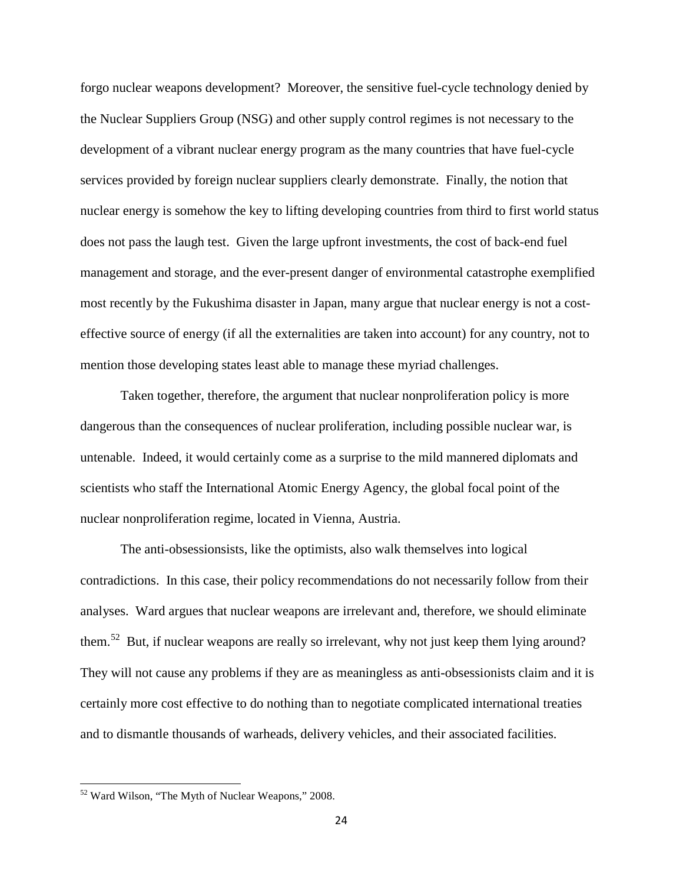forgo nuclear weapons development? Moreover, the sensitive fuel-cycle technology denied by the Nuclear Suppliers Group (NSG) and other supply control regimes is not necessary to the development of a vibrant nuclear energy program as the many countries that have fuel-cycle services provided by foreign nuclear suppliers clearly demonstrate. Finally, the notion that nuclear energy is somehow the key to lifting developing countries from third to first world status does not pass the laugh test. Given the large upfront investments, the cost of back-end fuel management and storage, and the ever-present danger of environmental catastrophe exemplified most recently by the Fukushima disaster in Japan, many argue that nuclear energy is not a costeffective source of energy (if all the externalities are taken into account) for any country, not to mention those developing states least able to manage these myriad challenges.

Taken together, therefore, the argument that nuclear nonproliferation policy is more dangerous than the consequences of nuclear proliferation, including possible nuclear war, is untenable. Indeed, it would certainly come as a surprise to the mild mannered diplomats and scientists who staff the International Atomic Energy Agency, the global focal point of the nuclear nonproliferation regime, located in Vienna, Austria.

The anti-obsessionsists, like the optimists, also walk themselves into logical contradictions. In this case, their policy recommendations do not necessarily follow from their analyses. Ward argues that nuclear weapons are irrelevant and, therefore, we should eliminate them.<sup>52</sup> But, if nuclear weapons are really so irrelevant, why not just keep them lying around? They will not cause any problems if they are as meaningless as anti-obsessionists claim and it is certainly more cost effective to do nothing than to negotiate complicated international treaties and to dismantle thousands of warheads, delivery vehicles, and their associated facilities.

<span id="page-23-0"></span><sup>52</sup> Ward Wilson, "The Myth of Nuclear Weapons," 2008.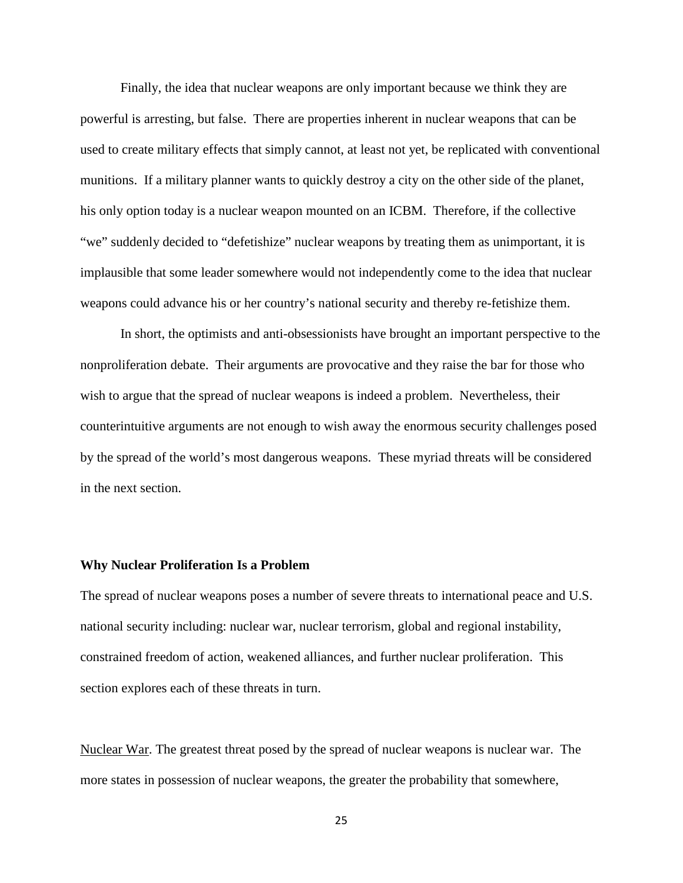Finally, the idea that nuclear weapons are only important because we think they are powerful is arresting, but false. There are properties inherent in nuclear weapons that can be used to create military effects that simply cannot, at least not yet, be replicated with conventional munitions. If a military planner wants to quickly destroy a city on the other side of the planet, his only option today is a nuclear weapon mounted on an ICBM. Therefore, if the collective "we" suddenly decided to "defetishize" nuclear weapons by treating them as unimportant, it is implausible that some leader somewhere would not independently come to the idea that nuclear weapons could advance his or her country's national security and thereby re-fetishize them.

In short, the optimists and anti-obsessionists have brought an important perspective to the nonproliferation debate. Their arguments are provocative and they raise the bar for those who wish to argue that the spread of nuclear weapons is indeed a problem. Nevertheless, their counterintuitive arguments are not enough to wish away the enormous security challenges posed by the spread of the world's most dangerous weapons. These myriad threats will be considered in the next section.

## **Why Nuclear Proliferation Is a Problem**

The spread of nuclear weapons poses a number of severe threats to international peace and U.S. national security including: nuclear war, nuclear terrorism, global and regional instability, constrained freedom of action, weakened alliances, and further nuclear proliferation. This section explores each of these threats in turn.

Nuclear War. The greatest threat posed by the spread of nuclear weapons is nuclear war. The more states in possession of nuclear weapons, the greater the probability that somewhere,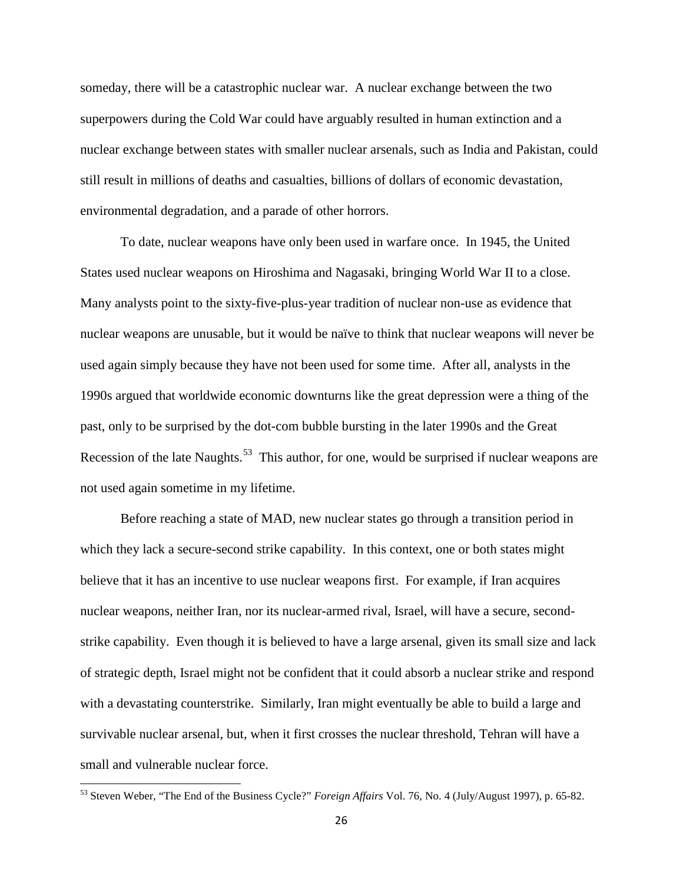someday, there will be a catastrophic nuclear war. A nuclear exchange between the two superpowers during the Cold War could have arguably resulted in human extinction and a nuclear exchange between states with smaller nuclear arsenals, such as India and Pakistan, could still result in millions of deaths and casualties, billions of dollars of economic devastation, environmental degradation, and a parade of other horrors.

To date, nuclear weapons have only been used in warfare once. In 1945, the United States used nuclear weapons on Hiroshima and Nagasaki, bringing World War II to a close. Many analysts point to the sixty-five-plus-year tradition of nuclear non-use as evidence that nuclear weapons are unusable, but it would be naïve to think that nuclear weapons will never be used again simply because they have not been used for some time. After all, analysts in the 1990s argued that worldwide economic downturns like the great depression were a thing of the past, only to be surprised by the dot-com bubble bursting in the later 1990s and the Great Recession of the late Naughts.<sup>[53](#page-25-0)</sup> This author, for one, would be surprised if nuclear weapons are not used again sometime in my lifetime.

Before reaching a state of MAD, new nuclear states go through a transition period in which they lack a secure-second strike capability. In this context, one or both states might believe that it has an incentive to use nuclear weapons first. For example, if Iran acquires nuclear weapons, neither Iran, nor its nuclear-armed rival, Israel, will have a secure, secondstrike capability. Even though it is believed to have a large arsenal, given its small size and lack of strategic depth, Israel might not be confident that it could absorb a nuclear strike and respond with a devastating counterstrike. Similarly, Iran might eventually be able to build a large and survivable nuclear arsenal, but, when it first crosses the nuclear threshold, Tehran will have a small and vulnerable nuclear force.

<span id="page-25-0"></span><sup>53</sup> Steven Weber, "The End of the Business Cycle?" *Foreign Affairs* Vol. 76, No. 4 (July/August 1997), p. 65-82.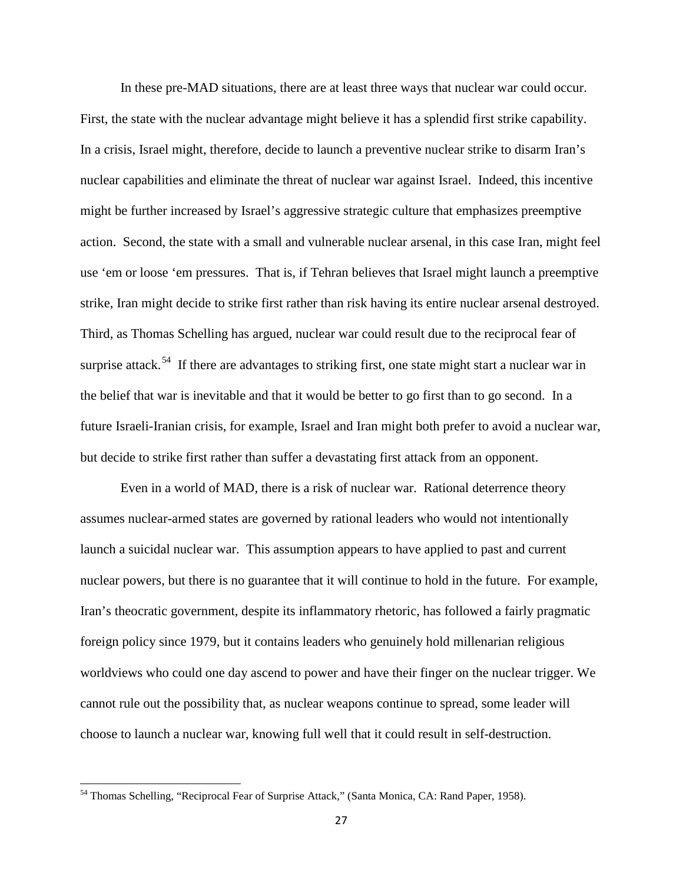In these pre-MAD situations, there are at least three ways that nuclear war could occur. First, the state with the nuclear advantage might believe it has a splendid first strike capability. In a crisis, Israel might, therefore, decide to launch a preventive nuclear strike to disarm Iran's nuclear capabilities and eliminate the threat of nuclear war against Israel. Indeed, this incentive might be further increased by Israel's aggressive strategic culture that emphasizes preemptive action. Second, the state with a small and vulnerable nuclear arsenal, in this case Iran, might feel use 'em or loose 'em pressures. That is, if Tehran believes that Israel might launch a preemptive strike, Iran might decide to strike first rather than risk having its entire nuclear arsenal destroyed. Third, as Thomas Schelling has argued, nuclear war could result due to the reciprocal fear of surprise attack.<sup>[54](#page-26-0)</sup> If there are advantages to striking first, one state might start a nuclear war in the belief that war is inevitable and that it would be better to go first than to go second. In a future Israeli-Iranian crisis, for example, Israel and Iran might both prefer to avoid a nuclear war, but decide to strike first rather than suffer a devastating first attack from an opponent.

Even in a world of MAD, there is a risk of nuclear war. Rational deterrence theory assumes nuclear-armed states are governed by rational leaders who would not intentionally launch a suicidal nuclear war. This assumption appears to have applied to past and current nuclear powers, but there is no guarantee that it will continue to hold in the future. For example, Iran's theocratic government, despite its inflammatory rhetoric, has followed a fairly pragmatic foreign policy since 1979, but it contains leaders who genuinely hold millenarian religious worldviews who could one day ascend to power and have their finger on the nuclear trigger. We cannot rule out the possibility that, as nuclear weapons continue to spread, some leader will choose to launch a nuclear war, knowing full well that it could result in self-destruction.

<span id="page-26-0"></span><sup>54</sup> Thomas Schelling, "Reciprocal Fear of Surprise Attack," (Santa Monica, CA: Rand Paper, 1958).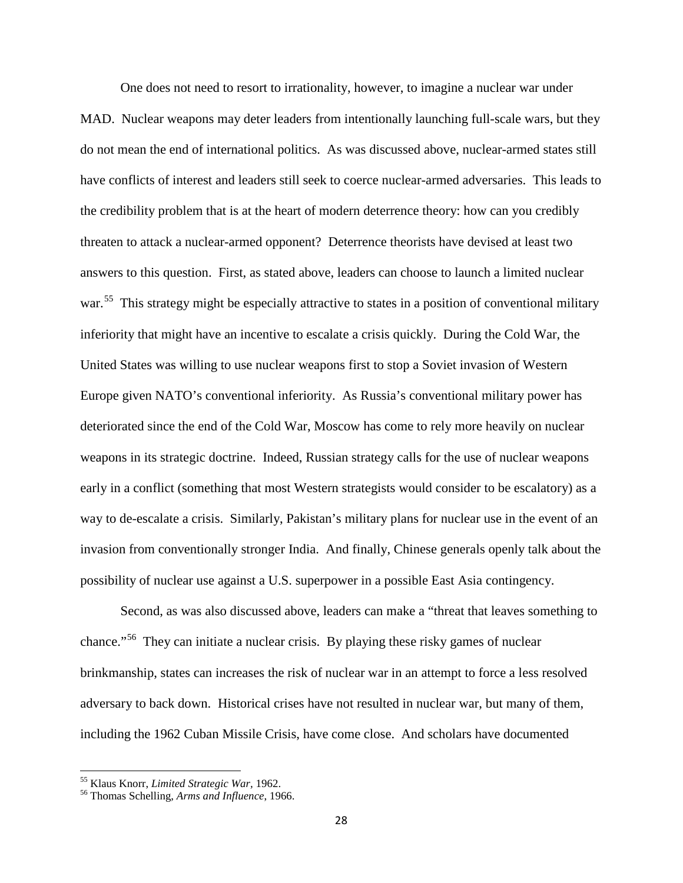One does not need to resort to irrationality, however, to imagine a nuclear war under MAD. Nuclear weapons may deter leaders from intentionally launching full-scale wars, but they do not mean the end of international politics. As was discussed above, nuclear-armed states still have conflicts of interest and leaders still seek to coerce nuclear-armed adversaries. This leads to the credibility problem that is at the heart of modern deterrence theory: how can you credibly threaten to attack a nuclear-armed opponent? Deterrence theorists have devised at least two answers to this question. First, as stated above, leaders can choose to launch a limited nuclear war.<sup>55</sup> This strategy might be especially attractive to states in a position of conventional military inferiority that might have an incentive to escalate a crisis quickly. During the Cold War, the United States was willing to use nuclear weapons first to stop a Soviet invasion of Western Europe given NATO's conventional inferiority. As Russia's conventional military power has deteriorated since the end of the Cold War, Moscow has come to rely more heavily on nuclear weapons in its strategic doctrine. Indeed, Russian strategy calls for the use of nuclear weapons early in a conflict (something that most Western strategists would consider to be escalatory) as a way to de-escalate a crisis. Similarly, Pakistan's military plans for nuclear use in the event of an invasion from conventionally stronger India. And finally, Chinese generals openly talk about the possibility of nuclear use against a U.S. superpower in a possible East Asia contingency.

Second, as was also discussed above, leaders can make a "threat that leaves something to chance."<sup>[56](#page-27-1)</sup> They can initiate a nuclear crisis. By playing these risky games of nuclear brinkmanship, states can increases the risk of nuclear war in an attempt to force a less resolved adversary to back down. Historical crises have not resulted in nuclear war, but many of them, including the 1962 Cuban Missile Crisis, have come close. And scholars have documented

<span id="page-27-1"></span>

<span id="page-27-0"></span><sup>55</sup> Klaus Knorr, *Limited Strategic War,* 1962. <sup>56</sup> Thomas Schelling, *Arms and Influence*, 1966.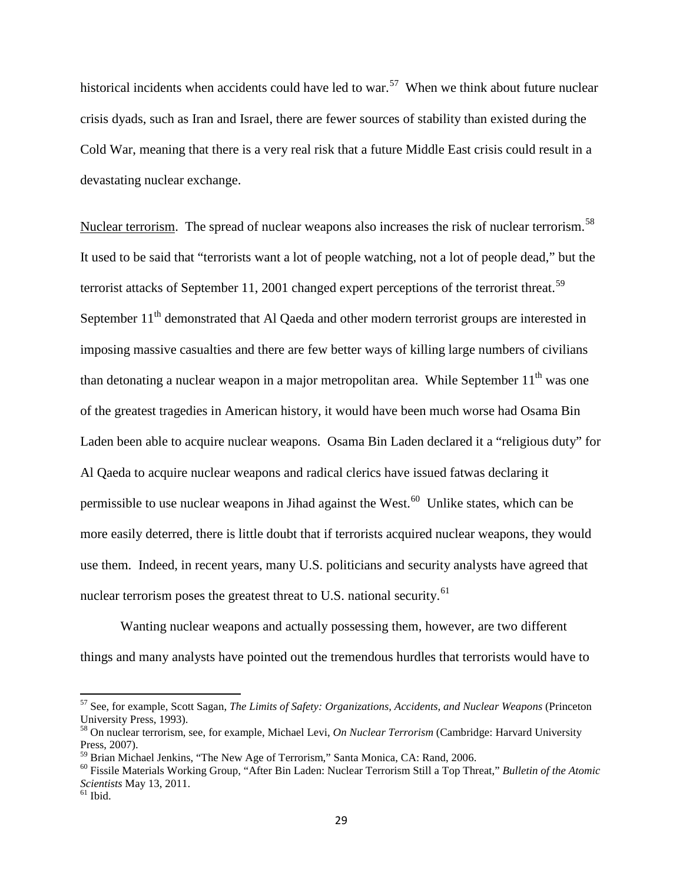historical incidents when accidents could have led to war.<sup>57</sup> When we think about future nuclear crisis dyads, such as Iran and Israel, there are fewer sources of stability than existed during the Cold War, meaning that there is a very real risk that a future Middle East crisis could result in a devastating nuclear exchange.

Nuclear terrorism. The spread of nuclear weapons also increases the risk of nuclear terrorism.<sup>[58](#page-28-1)</sup> It used to be said that "terrorists want a lot of people watching, not a lot of people dead," but the terrorist attacks of September 11, 2001 changed expert perceptions of the terrorist threat.<sup>59</sup> September  $11<sup>th</sup>$  demonstrated that Al Qaeda and other modern terrorist groups are interested in imposing massive casualties and there are few better ways of killing large numbers of civilians than detonating a nuclear weapon in a major metropolitan area. While September  $11<sup>th</sup>$  was one of the greatest tragedies in American history, it would have been much worse had Osama Bin Laden been able to acquire nuclear weapons. Osama Bin Laden declared it a "religious duty" for Al Qaeda to acquire nuclear weapons and radical clerics have issued fatwas declaring it permissible to use nuclear weapons in Jihad against the West.<sup>60</sup> Unlike states, which can be more easily deterred, there is little doubt that if terrorists acquired nuclear weapons, they would use them. Indeed, in recent years, many U.S. politicians and security analysts have agreed that nuclear terrorism poses the greatest threat to U.S. national security.<sup>[61](#page-28-4)</sup>

Wanting nuclear weapons and actually possessing them, however, are two different things and many analysts have pointed out the tremendous hurdles that terrorists would have to

<span id="page-28-0"></span><sup>57</sup> See, for example, Scott Sagan, *The Limits of Safety: Organizations, Accidents, and Nuclear Weapons* (Princeton

<span id="page-28-1"></span><sup>&</sup>lt;sup>58</sup> On nuclear terrorism, see, for example, Michael Levi, *On Nuclear Terrorism* (Cambridge: Harvard University Press, 2007).<br><sup>59</sup> Brian Michael Jenkins, "The New Age of Terrorism," Santa Monica, CA: Rand, 2006.

<span id="page-28-2"></span>

<span id="page-28-3"></span><sup>&</sup>lt;sup>60</sup> Fissile Materials Working Group, "After Bin Laden: Nuclear Terrorism Still a Top Threat," *Bulletin of the Atomic Scientists* May 13, 2011.<br><sup>61</sup> Ibid.

<span id="page-28-4"></span>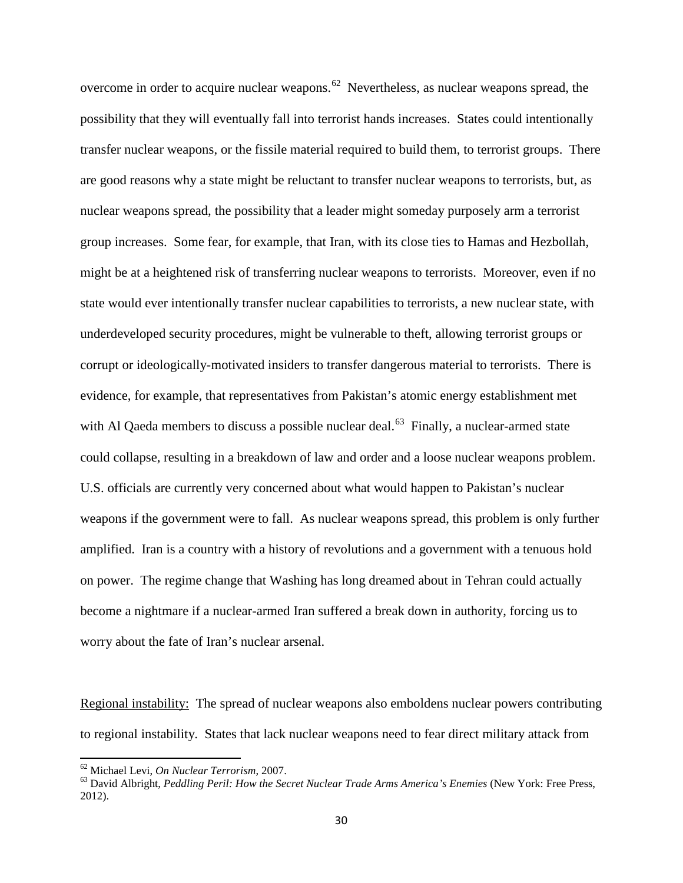overcome in order to acquire nuclear weapons.<sup>62</sup> Nevertheless, as nuclear weapons spread, the possibility that they will eventually fall into terrorist hands increases. States could intentionally transfer nuclear weapons, or the fissile material required to build them, to terrorist groups. There are good reasons why a state might be reluctant to transfer nuclear weapons to terrorists, but, as nuclear weapons spread, the possibility that a leader might someday purposely arm a terrorist group increases. Some fear, for example, that Iran, with its close ties to Hamas and Hezbollah, might be at a heightened risk of transferring nuclear weapons to terrorists. Moreover, even if no state would ever intentionally transfer nuclear capabilities to terrorists, a new nuclear state, with underdeveloped security procedures, might be vulnerable to theft, allowing terrorist groups or corrupt or ideologically-motivated insiders to transfer dangerous material to terrorists. There is evidence, for example, that representatives from Pakistan's atomic energy establishment met with Al Qaeda members to discuss a possible nuclear deal.<sup>63</sup> Finally, a nuclear-armed state could collapse, resulting in a breakdown of law and order and a loose nuclear weapons problem. U.S. officials are currently very concerned about what would happen to Pakistan's nuclear weapons if the government were to fall. As nuclear weapons spread, this problem is only further amplified. Iran is a country with a history of revolutions and a government with a tenuous hold on power. The regime change that Washing has long dreamed about in Tehran could actually become a nightmare if a nuclear-armed Iran suffered a break down in authority, forcing us to worry about the fate of Iran's nuclear arsenal.

Regional instability: The spread of nuclear weapons also emboldens nuclear powers contributing to regional instability. States that lack nuclear weapons need to fear direct military attack from

<span id="page-29-1"></span><span id="page-29-0"></span><sup>&</sup>lt;sup>62</sup> Michael Levi, *On Nuclear Terrorism*, 2007.<br><sup>63</sup> David Albright, *Peddling Peril: How the Secret Nuclear Trade Arms America's Enemies* (New York: Free Press, 2012).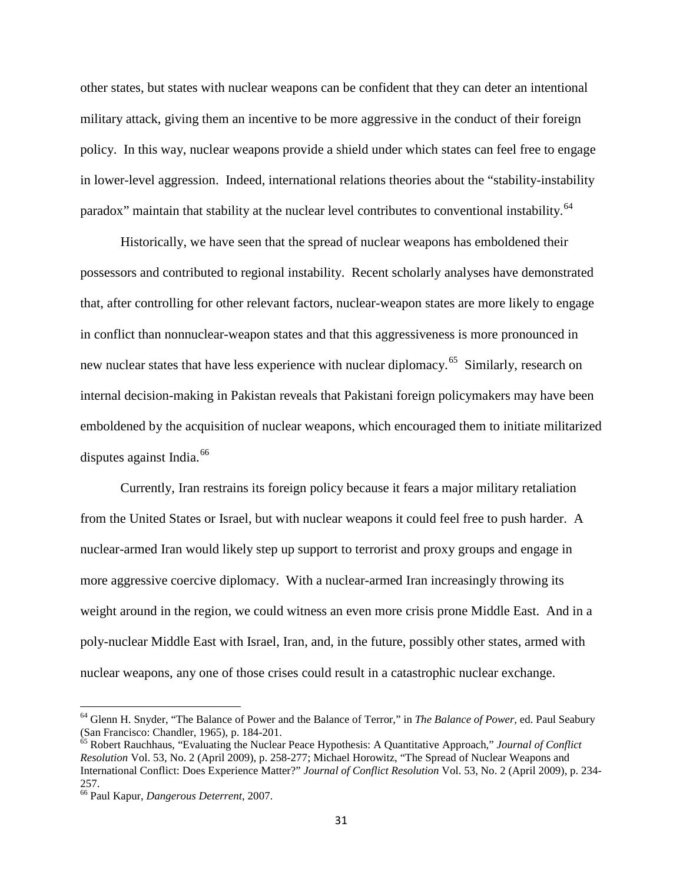other states, but states with nuclear weapons can be confident that they can deter an intentional military attack, giving them an incentive to be more aggressive in the conduct of their foreign policy. In this way, nuclear weapons provide a shield under which states can feel free to engage in lower-level aggression. Indeed, international relations theories about the "stability-instability paradox" maintain that stability at the nuclear level contributes to conventional instability.<sup>[64](#page-30-0)</sup>

Historically, we have seen that the spread of nuclear weapons has emboldened their possessors and contributed to regional instability. Recent scholarly analyses have demonstrated that, after controlling for other relevant factors, nuclear-weapon states are more likely to engage in conflict than nonnuclear-weapon states and that this aggressiveness is more pronounced in new nuclear states that have less experience with nuclear diplomacy.<sup>65</sup> Similarly, research on internal decision-making in Pakistan reveals that Pakistani foreign policymakers may have been emboldened by the acquisition of nuclear weapons, which encouraged them to initiate militarized disputes against India. $^{66}$ 

Currently, Iran restrains its foreign policy because it fears a major military retaliation from the United States or Israel, but with nuclear weapons it could feel free to push harder. A nuclear-armed Iran would likely step up support to terrorist and proxy groups and engage in more aggressive coercive diplomacy. With a nuclear-armed Iran increasingly throwing its weight around in the region, we could witness an even more crisis prone Middle East. And in a poly-nuclear Middle East with Israel, Iran, and, in the future, possibly other states, armed with nuclear weapons, any one of those crises could result in a catastrophic nuclear exchange.

<span id="page-30-0"></span><sup>&</sup>lt;sup>64</sup> Glenn H. Snyder, "The Balance of Power and the Balance of Terror," in *The Balance of Power*, ed. Paul Seabury (San Francisco: Chandler, 1965), p. 184-201.

<span id="page-30-1"></span><sup>&</sup>lt;sup>65</sup> Robert Rauchhaus, "Evaluating the Nuclear Peace Hypothesis: A Quantitative Approach," *Journal of Conflict Resolution* Vol. 53, No. 2 (April 2009), p. 258-277; Michael Horowitz, "The Spread of Nuclear Weapons and International Conflict: Does Experience Matter?" *Journal of Conflict Resolution* Vol. 53, No. 2 (April 2009), p. 234- 257.

<span id="page-30-2"></span><sup>66</sup> Paul Kapur, *Dangerous Deterrent*, 2007.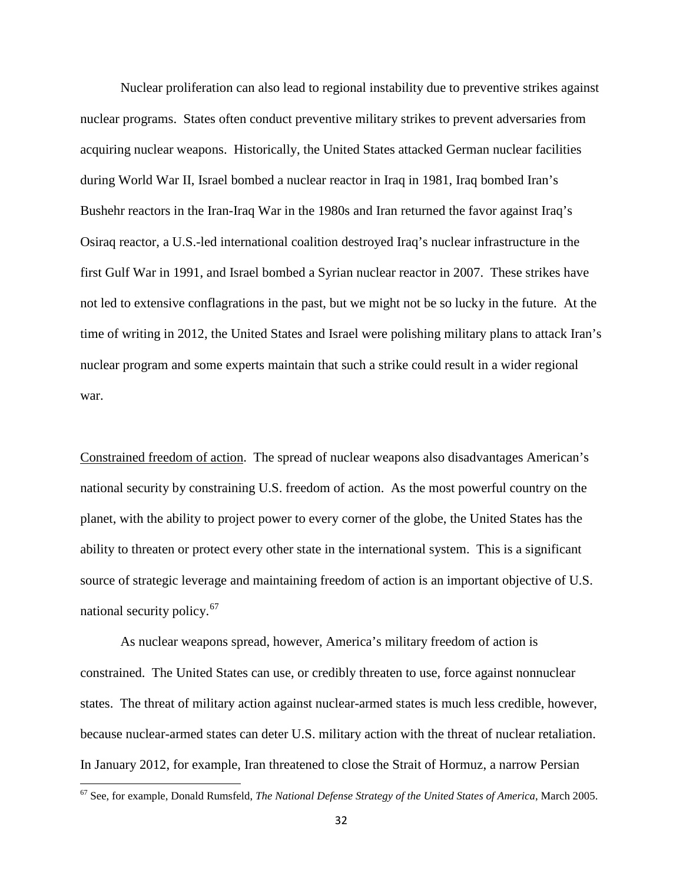Nuclear proliferation can also lead to regional instability due to preventive strikes against nuclear programs. States often conduct preventive military strikes to prevent adversaries from acquiring nuclear weapons. Historically, the United States attacked German nuclear facilities during World War II, Israel bombed a nuclear reactor in Iraq in 1981, Iraq bombed Iran's Bushehr reactors in the Iran-Iraq War in the 1980s and Iran returned the favor against Iraq's Osiraq reactor, a U.S.-led international coalition destroyed Iraq's nuclear infrastructure in the first Gulf War in 1991, and Israel bombed a Syrian nuclear reactor in 2007. These strikes have not led to extensive conflagrations in the past, but we might not be so lucky in the future. At the time of writing in 2012, the United States and Israel were polishing military plans to attack Iran's nuclear program and some experts maintain that such a strike could result in a wider regional war.

Constrained freedom of action. The spread of nuclear weapons also disadvantages American's national security by constraining U.S. freedom of action. As the most powerful country on the planet, with the ability to project power to every corner of the globe, the United States has the ability to threaten or protect every other state in the international system. This is a significant source of strategic leverage and maintaining freedom of action is an important objective of U.S. national security policy.<sup>[67](#page-31-0)</sup>

As nuclear weapons spread, however, America's military freedom of action is constrained. The United States can use, or credibly threaten to use, force against nonnuclear states. The threat of military action against nuclear-armed states is much less credible, however, because nuclear-armed states can deter U.S. military action with the threat of nuclear retaliation. In January 2012, for example, Iran threatened to close the Strait of Hormuz, a narrow Persian

<span id="page-31-0"></span><sup>67</sup> See, for example, Donald Rumsfeld, *The National Defense Strategy of the United States of America*, March 2005.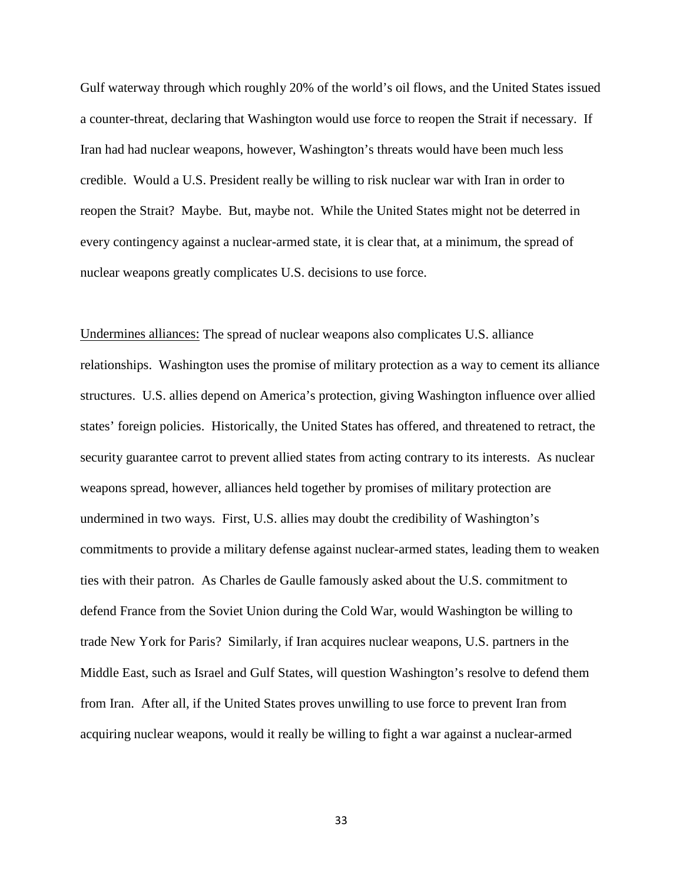Gulf waterway through which roughly 20% of the world's oil flows, and the United States issued a counter-threat, declaring that Washington would use force to reopen the Strait if necessary. If Iran had had nuclear weapons, however, Washington's threats would have been much less credible. Would a U.S. President really be willing to risk nuclear war with Iran in order to reopen the Strait? Maybe. But, maybe not. While the United States might not be deterred in every contingency against a nuclear-armed state, it is clear that, at a minimum, the spread of nuclear weapons greatly complicates U.S. decisions to use force.

Undermines alliances: The spread of nuclear weapons also complicates U.S. alliance relationships. Washington uses the promise of military protection as a way to cement its alliance structures. U.S. allies depend on America's protection, giving Washington influence over allied states' foreign policies. Historically, the United States has offered, and threatened to retract, the security guarantee carrot to prevent allied states from acting contrary to its interests. As nuclear weapons spread, however, alliances held together by promises of military protection are undermined in two ways. First, U.S. allies may doubt the credibility of Washington's commitments to provide a military defense against nuclear-armed states, leading them to weaken ties with their patron. As Charles de Gaulle famously asked about the U.S. commitment to defend France from the Soviet Union during the Cold War, would Washington be willing to trade New York for Paris? Similarly, if Iran acquires nuclear weapons, U.S. partners in the Middle East, such as Israel and Gulf States, will question Washington's resolve to defend them from Iran. After all, if the United States proves unwilling to use force to prevent Iran from acquiring nuclear weapons, would it really be willing to fight a war against a nuclear-armed

33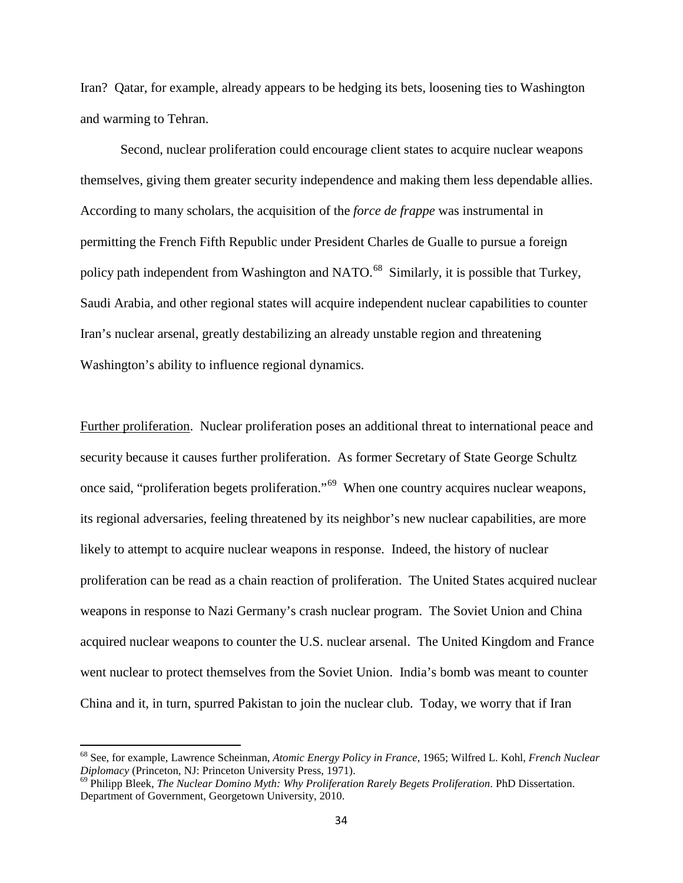Iran? Qatar, for example, already appears to be hedging its bets, loosening ties to Washington and warming to Tehran.

Second, nuclear proliferation could encourage client states to acquire nuclear weapons themselves, giving them greater security independence and making them less dependable allies. According to many scholars, the acquisition of the *force de frappe* was instrumental in permitting the French Fifth Republic under President Charles de Gualle to pursue a foreign policy path independent from Washington and NATO.<sup>68</sup> Similarly, it is possible that Turkey, Saudi Arabia, and other regional states will acquire independent nuclear capabilities to counter Iran's nuclear arsenal, greatly destabilizing an already unstable region and threatening Washington's ability to influence regional dynamics.

Further proliferation. Nuclear proliferation poses an additional threat to international peace and security because it causes further proliferation. As former Secretary of State George Schultz once said, "proliferation begets proliferation."[69](#page-33-1) When one country acquires nuclear weapons, its regional adversaries, feeling threatened by its neighbor's new nuclear capabilities, are more likely to attempt to acquire nuclear weapons in response. Indeed, the history of nuclear proliferation can be read as a chain reaction of proliferation. The United States acquired nuclear weapons in response to Nazi Germany's crash nuclear program. The Soviet Union and China acquired nuclear weapons to counter the U.S. nuclear arsenal. The United Kingdom and France went nuclear to protect themselves from the Soviet Union. India's bomb was meant to counter China and it, in turn, spurred Pakistan to join the nuclear club. Today, we worry that if Iran

<span id="page-33-0"></span><sup>68</sup> See, for example, Lawrence Scheinman, *Atomic Energy Policy in France*, 1965; Wilfred L. Kohl, *French Nuclear* 

<span id="page-33-1"></span><sup>&</sup>lt;sup>69</sup> Philipp Bleek, *The Nuclear Domino Myth: Why Proliferation Rarely Begets Proliferation*. PhD Dissertation. Department of Government, Georgetown University, 2010.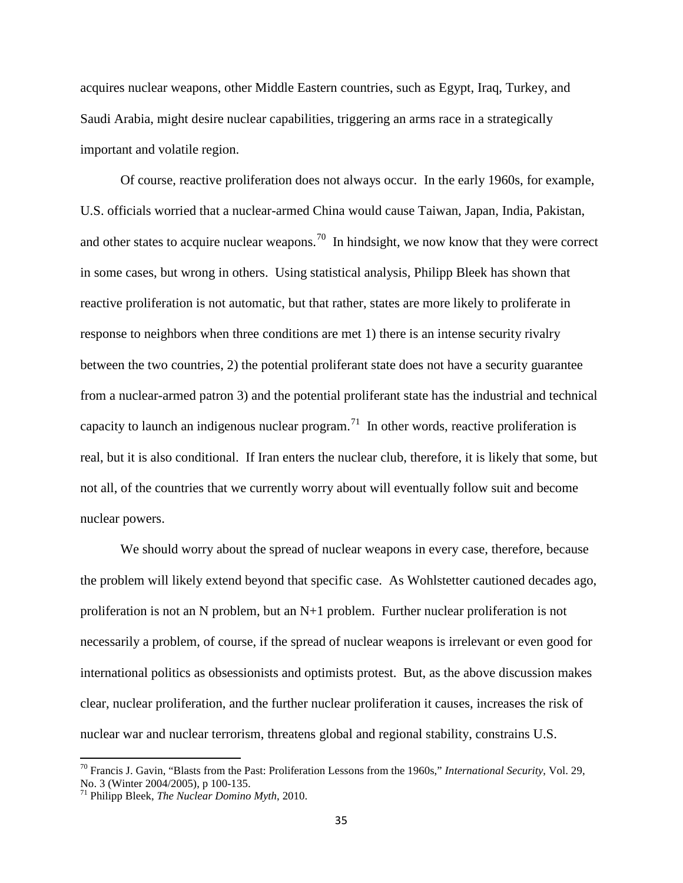acquires nuclear weapons, other Middle Eastern countries, such as Egypt, Iraq, Turkey, and Saudi Arabia, might desire nuclear capabilities, triggering an arms race in a strategically important and volatile region.

Of course, reactive proliferation does not always occur. In the early 1960s, for example, U.S. officials worried that a nuclear-armed China would cause Taiwan, Japan, India, Pakistan, and other states to acquire nuclear weapons.<sup>[70](#page-34-0)</sup> In hindsight, we now know that they were correct in some cases, but wrong in others. Using statistical analysis, Philipp Bleek has shown that reactive proliferation is not automatic, but that rather, states are more likely to proliferate in response to neighbors when three conditions are met 1) there is an intense security rivalry between the two countries, 2) the potential proliferant state does not have a security guarantee from a nuclear-armed patron 3) and the potential proliferant state has the industrial and technical capacity to launch an indigenous nuclear program.<sup>71</sup> In other words, reactive proliferation is real, but it is also conditional. If Iran enters the nuclear club, therefore, it is likely that some, but not all, of the countries that we currently worry about will eventually follow suit and become nuclear powers.

We should worry about the spread of nuclear weapons in every case, therefore, because the problem will likely extend beyond that specific case. As Wohlstetter cautioned decades ago, proliferation is not an N problem, but an N+1 problem. Further nuclear proliferation is not necessarily a problem, of course, if the spread of nuclear weapons is irrelevant or even good for international politics as obsessionists and optimists protest. But, as the above discussion makes clear, nuclear proliferation, and the further nuclear proliferation it causes, increases the risk of nuclear war and nuclear terrorism, threatens global and regional stability, constrains U.S.

<span id="page-34-0"></span><sup>70</sup> Francis J. Gavin, "Blasts from the Past: Proliferation Lessons from the 1960s," *International Security*, Vol. 29,

<span id="page-34-1"></span> $^{71}$  Philipp Bleek, *The Nuclear Domino Myth*, 2010.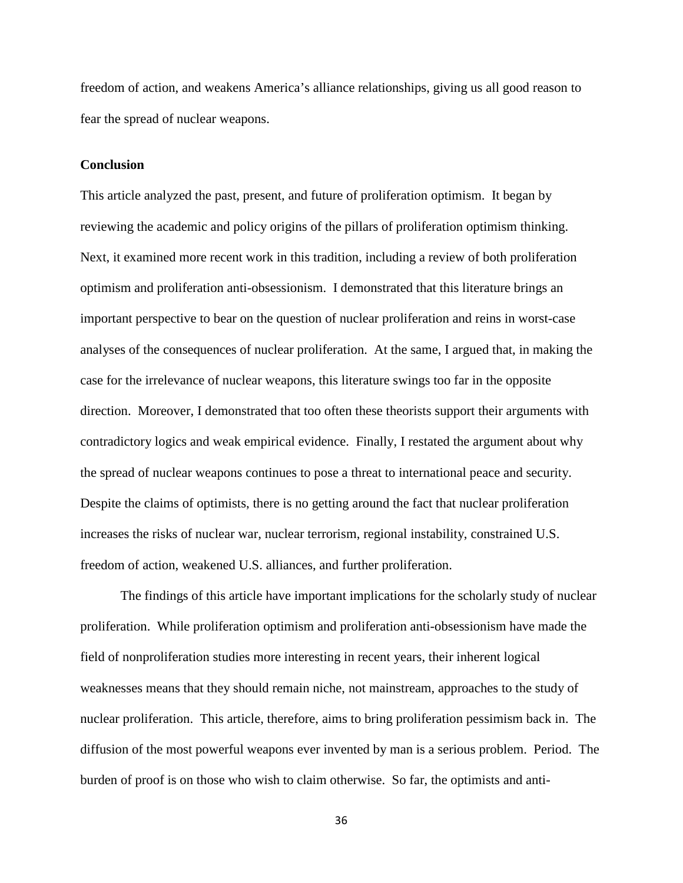freedom of action, and weakens America's alliance relationships, giving us all good reason to fear the spread of nuclear weapons.

#### **Conclusion**

This article analyzed the past, present, and future of proliferation optimism. It began by reviewing the academic and policy origins of the pillars of proliferation optimism thinking. Next, it examined more recent work in this tradition, including a review of both proliferation optimism and proliferation anti-obsessionism. I demonstrated that this literature brings an important perspective to bear on the question of nuclear proliferation and reins in worst-case analyses of the consequences of nuclear proliferation. At the same, I argued that, in making the case for the irrelevance of nuclear weapons, this literature swings too far in the opposite direction. Moreover, I demonstrated that too often these theorists support their arguments with contradictory logics and weak empirical evidence. Finally, I restated the argument about why the spread of nuclear weapons continues to pose a threat to international peace and security. Despite the claims of optimists, there is no getting around the fact that nuclear proliferation increases the risks of nuclear war, nuclear terrorism, regional instability, constrained U.S. freedom of action, weakened U.S. alliances, and further proliferation.

The findings of this article have important implications for the scholarly study of nuclear proliferation. While proliferation optimism and proliferation anti-obsessionism have made the field of nonproliferation studies more interesting in recent years, their inherent logical weaknesses means that they should remain niche, not mainstream, approaches to the study of nuclear proliferation. This article, therefore, aims to bring proliferation pessimism back in. The diffusion of the most powerful weapons ever invented by man is a serious problem. Period. The burden of proof is on those who wish to claim otherwise. So far, the optimists and anti-

36